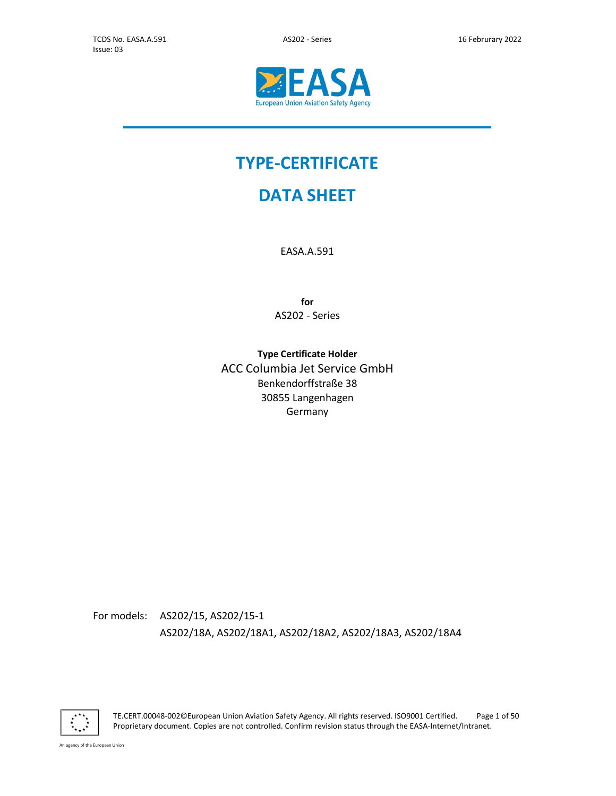j.



# TYPE-CERTIFICATE

# DATA SHEET

EASA.A.591

for AS202 - Series

Type Certificate Holder ACC Columbia Jet Service GmbH Benkendorffstraße 38 30855 Langenhagen Germany

For models: AS202/15, AS202/15-1 AS202/18A, AS202/18A1, AS202/18A2, AS202/18A3, AS202/18A4



TE.CERT.00048-002©European Union Aviation Safety Agency. All rights reserved. ISO9001 Certified. Page 1 of 50 Proprietary document. Copies are not controlled. Confirm revision status through the EASA-Internet/Intranet.

An agency of the European Union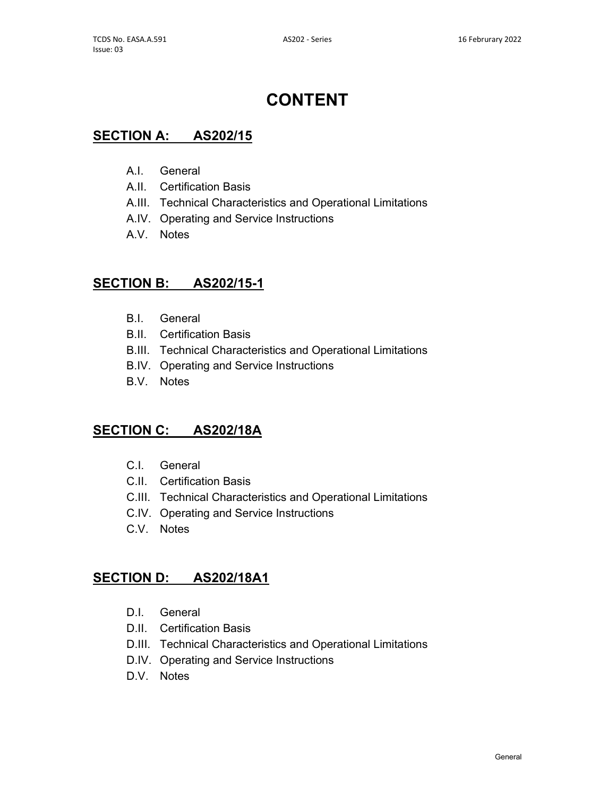# CONTENT

## SECTION A: AS202/15

- A.I. General
- A.II. Certification Basis
- A.III. Technical Characteristics and Operational Limitations
- A.IV. Operating and Service Instructions
- A.V. Notes

## SECTION B: AS202/15-1

- B.I. General
- B.II. Certification Basis
- B.III. Technical Characteristics and Operational Limitations
- B.IV. Operating and Service Instructions
- B.V. Notes

## SECTION C: AS202/18A

- C.I. General
- C.II. Certification Basis
- C.III. Technical Characteristics and Operational Limitations
- C.IV. Operating and Service Instructions
- C.V. Notes

## SECTION D: AS202/18A1

- D.I. General
- D.II. Certification Basis
- D.III. Technical Characteristics and Operational Limitations
- D.IV. Operating and Service Instructions
- D.V. Notes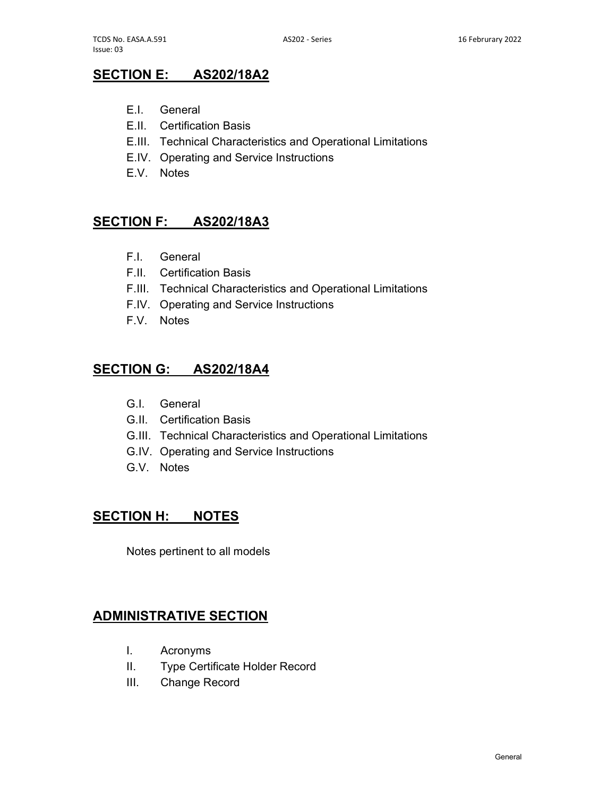# SECTION E: AS202/18A2

- E.I. General
- E.II. Certification Basis
- E.III. Technical Characteristics and Operational Limitations
- E.IV. Operating and Service Instructions
- E.V. Notes

## SECTION F: AS202/18A3

- F.I. General
- F.II. Certification Basis
- F.III. Technical Characteristics and Operational Limitations
- F.IV. Operating and Service Instructions
- F.V. Notes

## SECTION G: AS202/18A4

- G.I. General
- G.II. Certification Basis
- G.III. Technical Characteristics and Operational Limitations
- G.IV. Operating and Service Instructions
- G.V. Notes

# SECTION H: NOTES

Notes pertinent to all models

## ADMINISTRATIVE SECTION

- I. Acronyms
- II. Type Certificate Holder Record
- III. Change Record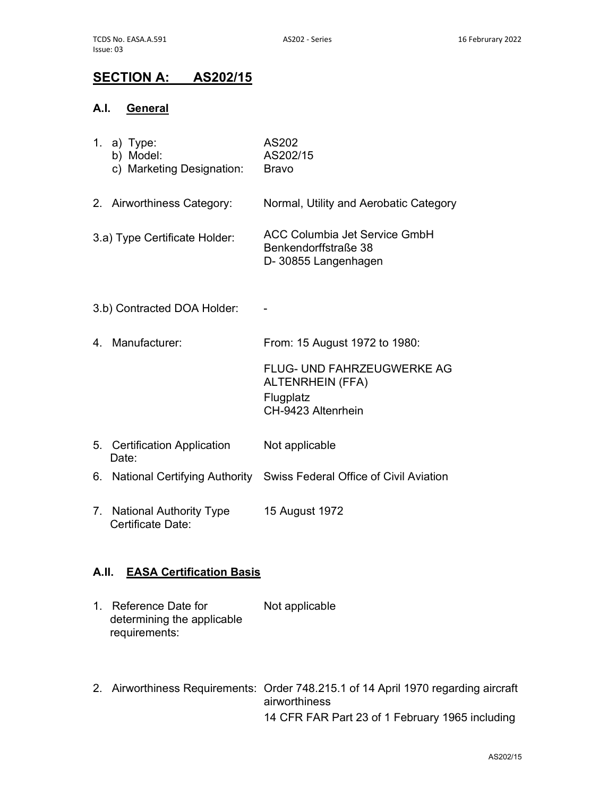# SECTION A: AS202/15

## A.I. General

|    | 1. a) Type:<br>b) Model:<br>c) Marketing Designation: | AS202<br>AS202/15<br><b>Bravo</b>                                                               |
|----|-------------------------------------------------------|-------------------------------------------------------------------------------------------------|
|    | 2. Airworthiness Category:                            | Normal, Utility and Aerobatic Category                                                          |
|    | 3.a) Type Certificate Holder:                         | <b>ACC Columbia Jet Service GmbH</b><br>Benkendorffstraße 38<br>D-30855 Langenhagen             |
|    | 3.b) Contracted DOA Holder:                           |                                                                                                 |
|    | 4. Manufacturer:                                      | From: 15 August 1972 to 1980:                                                                   |
|    |                                                       | <b>FLUG- UND FAHRZEUGWERKE AG</b><br><b>ALTENRHEIN (FFA)</b><br>Flugplatz<br>CH-9423 Altenrhein |
|    | 5. Certification Application<br>Date:                 | Not applicable                                                                                  |
|    |                                                       | 6. National Certifying Authority Swiss Federal Office of Civil Aviation                         |
| 7. | <b>National Authority Type</b><br>Certificate Date:   | 15 August 1972                                                                                  |

## A.II. EASA Certification Basis

- 1. Reference Date for determining the applicable requirements: Not applicable
- 2. Airworthiness Requirements: Order 748.215.1 of 14 April 1970 regarding aircraft airworthiness 14 CFR FAR Part 23 of 1 February 1965 including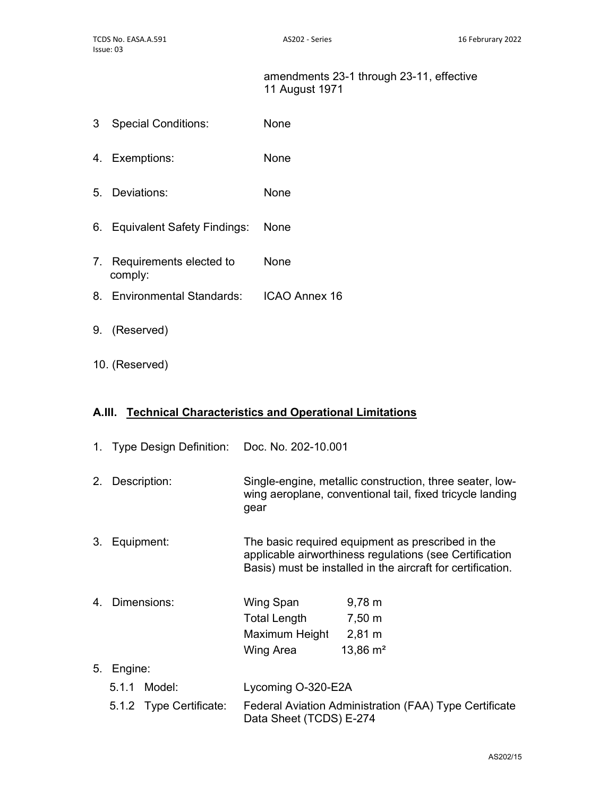#### amendments 23-1 through 23-11, effective 11 August 1971

- 3 Special Conditions: None
- 4. Exemptions: None
- 5. Deviations: None
- 6. Equivalent Safety Findings: None
- 7. Requirements elected to comply: None
- 8. Environmental Standards: ICAO Annex 16
- 9. (Reserved)
- 10. (Reserved)

## A.III. Technical Characteristics and Operational Limitations

|    | 1. Type Design Definition: Doc. No. 202-10.001 |                                                                                                                                                                             |
|----|------------------------------------------------|-----------------------------------------------------------------------------------------------------------------------------------------------------------------------------|
|    | 2. Description:                                | Single-engine, metallic construction, three seater, low-<br>wing aeroplane, conventional tail, fixed tricycle landing<br>gear                                               |
|    | 3. Equipment:                                  | The basic required equipment as prescribed in the<br>applicable airworthiness regulations (see Certification<br>Basis) must be installed in the aircraft for certification. |
|    | 4. Dimensions:                                 | $9,78 \; m$<br>Wing Span<br>Total Length<br>7,50 m<br>Maximum Height 2,81 m<br>Wing Area<br>$13,86 \text{ m}^2$                                                             |
| 5. | Engine:                                        |                                                                                                                                                                             |
|    | 5.1.1 Model:                                   | Lycoming O-320-E2A                                                                                                                                                          |
|    | 5.1.2 Type Certificate:                        | Federal Aviation Administration (FAA) Type Certificate<br>Data Sheet (TCDS) E-274                                                                                           |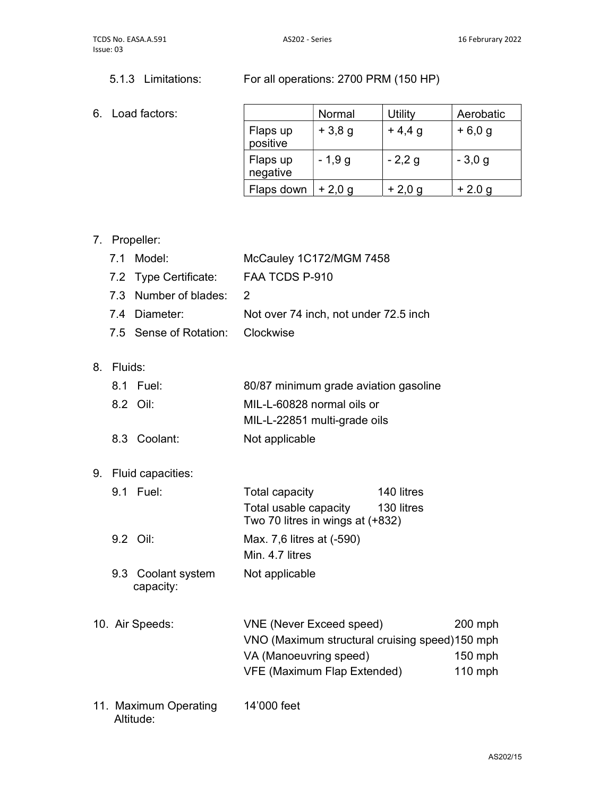## 5.1.3 Limitations: For all operations: 2700 PRM (150 HP)

#### 6. Load factors:

|                      | Normal   | Utility  | Aerobatic |
|----------------------|----------|----------|-----------|
| Flaps up<br>positive | $+3,8,9$ | $+4,4,9$ | $+6,0,9$  |
| Flaps up<br>negative | $-1,9g$  | $-2,2g$  | $-3,0,9$  |
| Flaps down           | $+2,0,9$ | $+2,0,9$ | $+2.0 g$  |

## 7. Propeller:

| 7.1 Model:                       | McCauley 1C172/MGM 7458               |
|----------------------------------|---------------------------------------|
| 7.2 Type Certificate:            | FAA TCDS P-910                        |
| 7.3 Number of blades: 2          |                                       |
| 7.4 Diameter:                    | Not over 74 inch, not under 72.5 inch |
| 7.5 Sense of Rotation: Clockwise |                                       |

8. Fluids:

| 8.1 Fuel:    | 80/87 minimum grade aviation gasoline |
|--------------|---------------------------------------|
| 8.2 Oil:     | MIL-L-60828 normal oils or            |
|              | MIL-L-22851 multi-grade oils          |
| 8.3 Coolant: | Not applicable                        |

# 9. Fluid capacities:

| 9.1 Fuel:                       | Total capacity                                            | 140 litres |
|---------------------------------|-----------------------------------------------------------|------------|
|                                 | Total usable capacity<br>Two 70 litres in wings at (+832) | 130 litres |
| $9.2$ Oil:                      | Max. 7,6 litres at (-590)<br>Min. 4.7 litres              |            |
| 9.3 Coolant system<br>capacity: | Not applicable                                            |            |

- 10. Air Speeds: VNE (Never Exceed speed) 200 mph VNO (Maximum structural cruising speed) 150 mph VA (Manoeuvring speed) 150 mph VFE (Maximum Flap Extended) 110 mph
- 11. Maximum Operating Altitude: 14'000 feet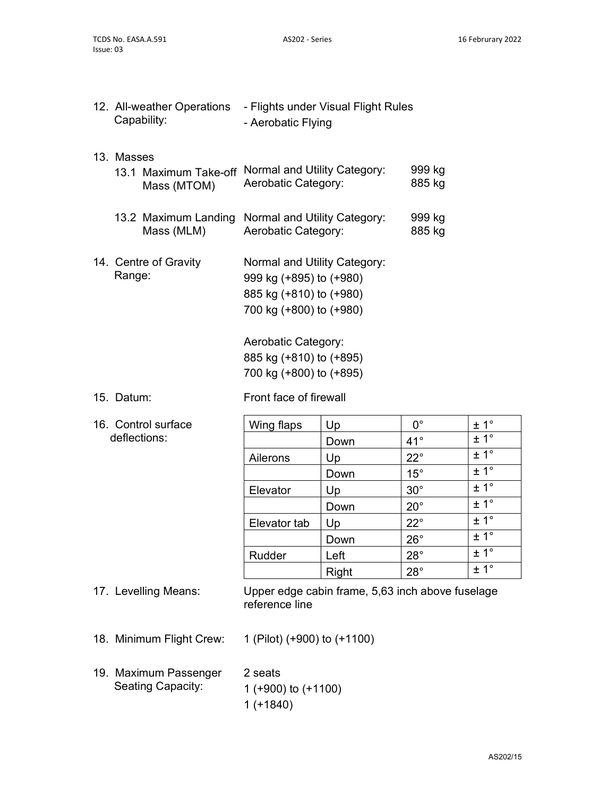|            | 12. All-weather Operations - Flights under Visual Flight Rules<br>Capability: | - Aerobatic Flying                                                                                                                                                                         |                                                                       |                                                                                                                                                       |                                                                                                                                |
|------------|-------------------------------------------------------------------------------|--------------------------------------------------------------------------------------------------------------------------------------------------------------------------------------------|-----------------------------------------------------------------------|-------------------------------------------------------------------------------------------------------------------------------------------------------|--------------------------------------------------------------------------------------------------------------------------------|
| 13. Masses | 13.1 Maximum Take-off<br>Mass (MTOM)                                          | Normal and Utility Category:<br>Aerobatic Category:                                                                                                                                        |                                                                       | 999 kg<br>885 kg                                                                                                                                      |                                                                                                                                |
|            | 13.2 Maximum Landing<br>Mass (MLM)                                            | Normal and Utility Category:<br>Aerobatic Category:                                                                                                                                        |                                                                       | 999 kg<br>885 kg                                                                                                                                      |                                                                                                                                |
| Range:     | 14. Centre of Gravity                                                         | Normal and Utility Category:<br>999 kg (+895) to (+980)<br>885 kg (+810) to (+980)<br>700 kg (+800) to (+980)<br>Aerobatic Category:<br>885 kg (+810) to (+895)<br>700 kg (+800) to (+895) |                                                                       |                                                                                                                                                       |                                                                                                                                |
| 15. Datum: |                                                                               | Front face of firewall                                                                                                                                                                     |                                                                       |                                                                                                                                                       |                                                                                                                                |
|            | 16. Control surface<br>deflections:                                           | Wing flaps<br>Ailerons<br>Elevator<br>Elevator tab<br>Rudder                                                                                                                               | Up<br>Down<br>Up<br>Down<br>Up<br>Down<br>Up<br>Down<br>Left<br>Right | $0^{\circ}$<br>$41^{\circ}$<br>$22^{\circ}$<br>$15^{\circ}$<br>$30^\circ$<br>$20^{\circ}$<br>$22^{\circ}$<br>$26^{\circ}$<br>$28^\circ$<br>$28^\circ$ | $\pm$ 1°<br>± 1°<br>$\pm 1^{\circ}$<br>$\pm 1^{\circ}$<br>± 1°<br>± 1°<br>$\pm 1^{\circ}$<br>± 1°<br>$± 1^{\circ}$<br>$\pm$ 1° |
|            | 17. Levelling Means:                                                          | Upper edge cabin frame, 5,63 inch above fuselage<br>reference line                                                                                                                         |                                                                       |                                                                                                                                                       |                                                                                                                                |
|            | 18. Minimum Flight Crew:                                                      | 1 (Pilot) (+900) to (+1100)                                                                                                                                                                |                                                                       |                                                                                                                                                       |                                                                                                                                |
|            | 19. Maximum Passenger<br><b>Seating Capacity:</b>                             | 2 seats<br>1 (+900) to (+1100)<br>$1(+1840)$                                                                                                                                               |                                                                       |                                                                                                                                                       |                                                                                                                                |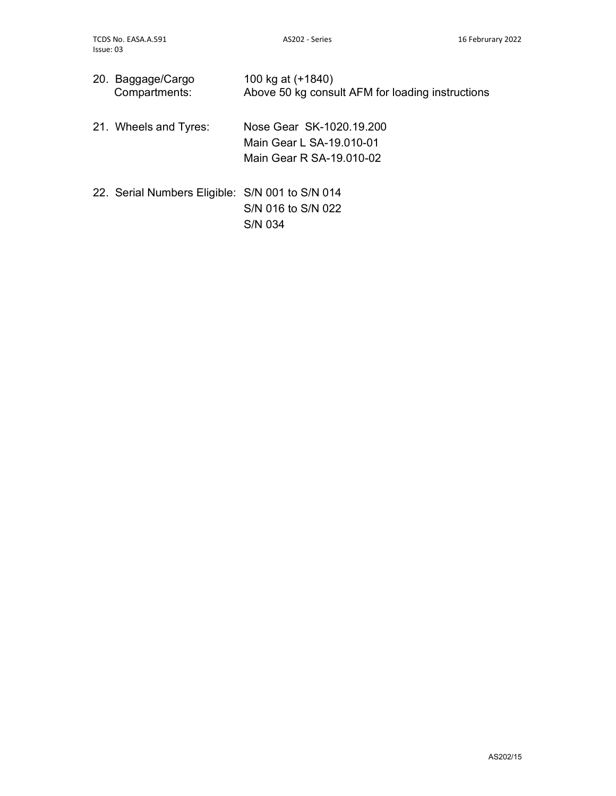| 20. Baggage/Cargo<br>Compartments: | 100 kg at (+1840)<br>Above 50 kg consult AFM for loading instructions |
|------------------------------------|-----------------------------------------------------------------------|
|                                    |                                                                       |

- 21. Wheels and Tyres: Nose Gear SK-1020.19.200 Main Gear L SA-19.010-01 Main Gear R SA-19.010-02
- 22. Serial Numbers Eligible: S/N 001 to S/N 014 S/N 016 to S/N 022 S/N 034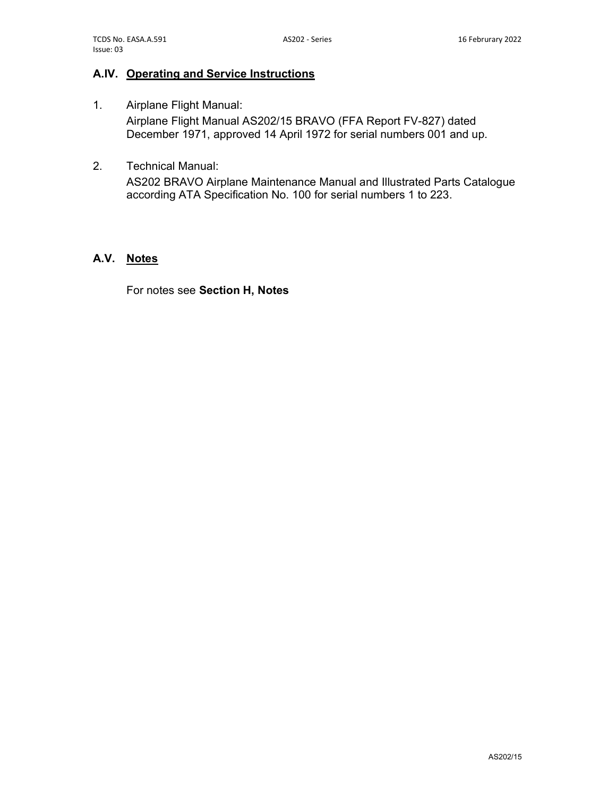## A.IV. Operating and Service Instructions

- 1. Airplane Flight Manual: Airplane Flight Manual AS202/15 BRAVO (FFA Report FV-827) dated December 1971, approved 14 April 1972 for serial numbers 001 and up.
- 2. Technical Manual:

AS202 BRAVO Airplane Maintenance Manual and Illustrated Parts Catalogue according ATA Specification No. 100 for serial numbers 1 to 223.

### A.V. Notes

For notes see Section H, Notes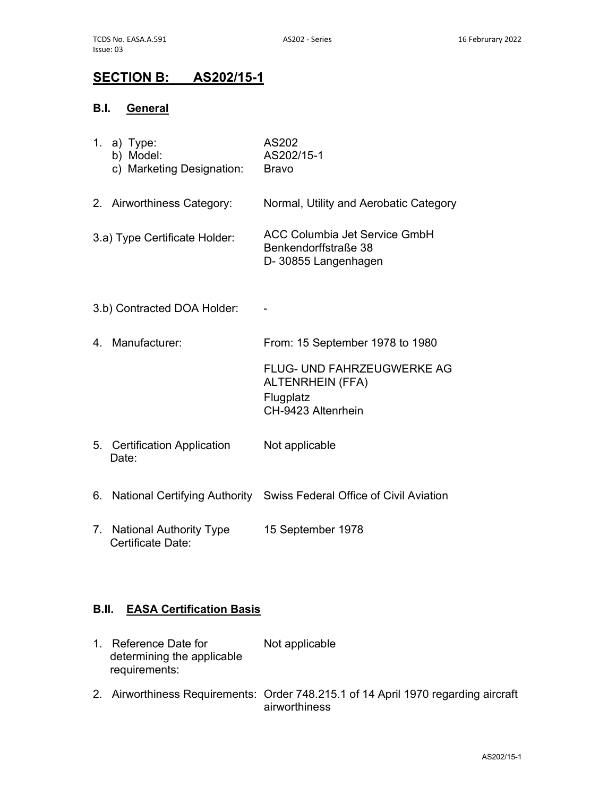# SECTION B: AS202/15-1

## B.I. General

|    | 1. a) $Type:$<br>b) Model:<br>c) Marketing Designation: | AS202<br>AS202/15-1<br><b>Bravo</b>                                                      |
|----|---------------------------------------------------------|------------------------------------------------------------------------------------------|
|    | 2. Airworthiness Category:                              | Normal, Utility and Aerobatic Category                                                   |
|    | 3.a) Type Certificate Holder:                           | <b>ACC Columbia Jet Service GmbH</b><br>Benkendorffstraße 38<br>D- 30855 Langenhagen     |
|    | 3.b) Contracted DOA Holder:                             |                                                                                          |
|    | 4. Manufacturer:                                        | From: 15 September 1978 to 1980                                                          |
|    |                                                         | FLUG- UND FAHRZEUGWERKE AG<br><b>ALTENRHEIN (FFA)</b><br>Flugplatz<br>CH-9423 Altenrhein |
|    | 5. Certification Application<br>Date:                   | Not applicable                                                                           |
| 6. |                                                         | National Certifying Authority Swiss Federal Office of Civil Aviation                     |
| 7. | <b>National Authority Type</b><br>Certificate Date:     | 15 September 1978                                                                        |

## B.II. EASA Certification Basis

- 1. Reference Date for determining the applicable requirements: Not applicable
- 2. Airworthiness Requirements: Order 748.215.1 of 14 April 1970 regarding aircraft airworthiness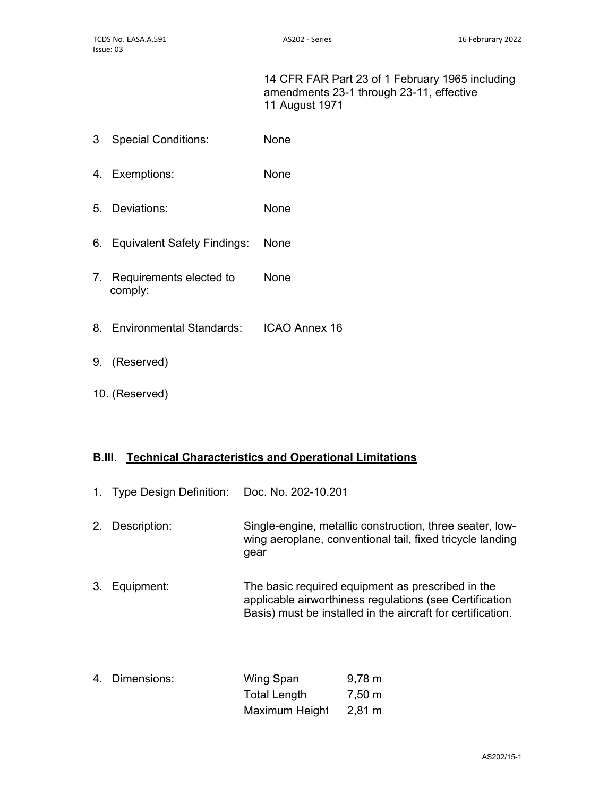14 CFR FAR Part 23 of 1 February 1965 including amendments 23-1 through 23-11, effective 11 August 1971

- 3 Special Conditions: None
- 4. Exemptions: None
- 5. Deviations: None
- 6. Equivalent Safety Findings: None
- 7. Requirements elected to comply: None
- 8. Environmental Standards: ICAO Annex 16
- 9. (Reserved)
- 10. (Reserved)

### B.III. Technical Characteristics and Operational Limitations

- 1. Type Design Definition: Doc. No. 202-10.201
- 2. Description: Single-engine, metallic construction, three seater, lowwing aeroplane, conventional tail, fixed tricycle landing gear
- 3. Equipment: The basic required equipment as prescribed in the applicable airworthiness regulations (see Certification Basis) must be installed in the aircraft for certification.
- 4. Dimensions: Wing Span Total Length Maximum Height 9,78 m 7,50 m 2,81 m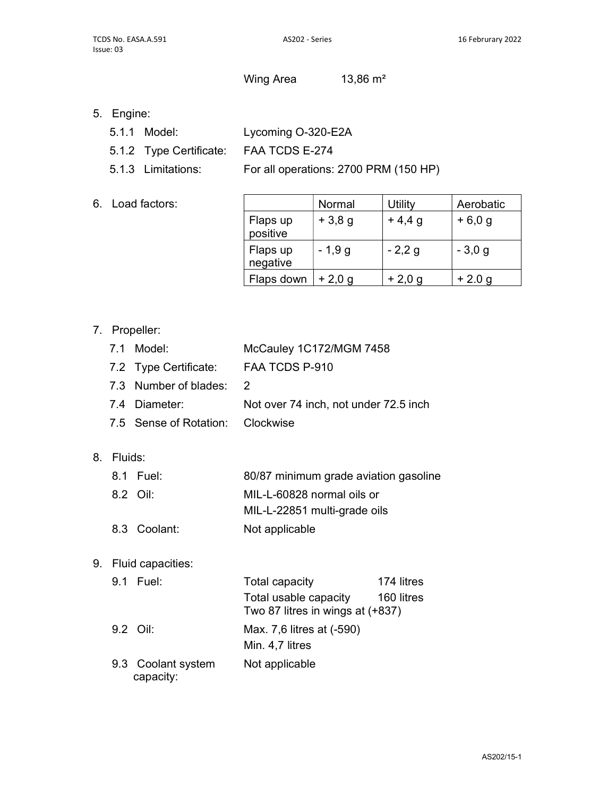Wing Area  $13,86 \text{ m}^2$ 

- 5. Engine:
	- 5.1.1 Model: Lycoming O-320-E2A
	- 5.1.2 Type Certificate: FAA TCDS E-274
	- 5.1.3 Limitations: For all operations: 2700 PRM (150 HP)
- 6. Load factors:

|                      | Normal   | <b>Utility</b> | Aerobatic |
|----------------------|----------|----------------|-----------|
| Flaps up<br>positive | $+3,8,9$ | $+4,4,9$       | $+6,0,9$  |
| Flaps up<br>negative | $-1,9g$  | $-2,2,9$       | $-3,0,9$  |
| Flaps down           | $+2,0,9$ | $+2,0,9$       | $+2.0 g$  |

## 7. Propeller:

| 7.1 Model:                       | McCauley 1C172/MGM 7458               |
|----------------------------------|---------------------------------------|
| 7.2 Type Certificate:            | FAA TCDS P-910                        |
| 7.3 Number of blades: 2          |                                       |
| 7.4 Diameter:                    | Not over 74 inch, not under 72.5 inch |
| 7.5 Sense of Rotation: Clockwise |                                       |
|                                  |                                       |

## 8. Fluids:

|  | 8.1 Fuel:    | 80/87 minimum grade aviation gasoline |
|--|--------------|---------------------------------------|
|  | 8.2 Oil:     | MIL-L-60828 normal oils or            |
|  |              | MIL-L-22851 multi-grade oils          |
|  | 8.3 Coolant: | Not applicable                        |

9. Fluid capacities:

| 9.1 Fuel:                       | <b>Total capacity</b>                                     | 174 litres |
|---------------------------------|-----------------------------------------------------------|------------|
|                                 | Total usable capacity<br>Two 87 litres in wings at (+837) | 160 litres |
| 9.2 Oil:                        | Max. 7,6 litres at (-590)<br>Min. 4,7 litres              |            |
| 9.3 Coolant system<br>capacity: | Not applicable                                            |            |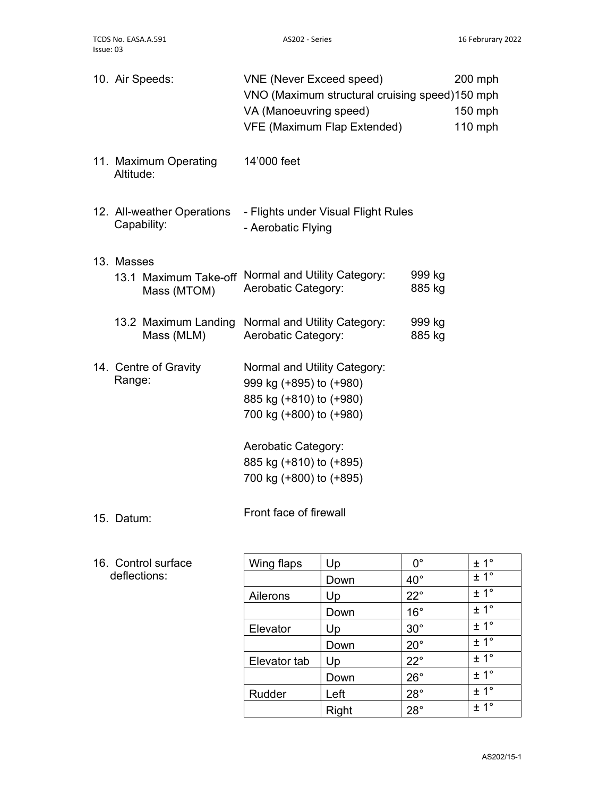|            | 10. Air Speeds:                           | <b>VNE (Never Exceed speed)</b><br>VNO (Maximum structural cruising speed)150 mph<br>VA (Manoeuvring speed)<br><b>VFE (Maximum Flap Extended)</b> |                  | $200$ mph<br>$150$ mph<br>110 mph |
|------------|-------------------------------------------|---------------------------------------------------------------------------------------------------------------------------------------------------|------------------|-----------------------------------|
| Altitude:  | 11. Maximum Operating                     | 14'000 feet                                                                                                                                       |                  |                                   |
|            | 12. All-weather Operations<br>Capability: | - Flights under Visual Flight Rules<br>- Aerobatic Flying                                                                                         |                  |                                   |
| 13. Masses |                                           |                                                                                                                                                   |                  |                                   |
|            | 13.1 Maximum Take-off<br>Mass (MTOM)      | Normal and Utility Category:<br>Aerobatic Category:                                                                                               | 999 kg<br>885 kg |                                   |
|            | 13.2 Maximum Landing<br>Mass (MLM)        | Normal and Utility Category:<br>Aerobatic Category:                                                                                               | 999 kg<br>885 kg |                                   |
| Range:     | 14. Centre of Gravity                     | Normal and Utility Category:<br>999 kg (+895) to (+980)<br>885 kg (+810) to (+980)<br>700 kg (+800) to (+980)                                     |                  |                                   |
|            |                                           | Aerobatic Category:                                                                                                                               |                  |                                   |
|            |                                           | 885 kg (+810) to (+895)                                                                                                                           |                  |                                   |
|            |                                           | 700 kg (+800) to (+895)                                                                                                                           |                  |                                   |
| 15. Datum: |                                           | Front face of firewall                                                                                                                            |                  |                                   |

## 16. Control surface deflections:

| Wing flaps   | Up    | 0°           | ± 1° |
|--------------|-------|--------------|------|
|              | Down  | $40^{\circ}$ | ± 1° |
| Ailerons     | Up    | $22^{\circ}$ | ± 1° |
|              | Down  | $16^{\circ}$ | ± 1° |
| Elevator     | Up    | $30^\circ$   | ± 1° |
|              | Down  | $20^{\circ}$ | ± 1° |
| Elevator tab | Up    | $22^{\circ}$ | ± 1° |
|              | Down  | $26^{\circ}$ | ± 1° |
| Rudder       | Left  | $28^\circ$   | ± 1° |
|              | Right | $28^\circ$   | ± 1° |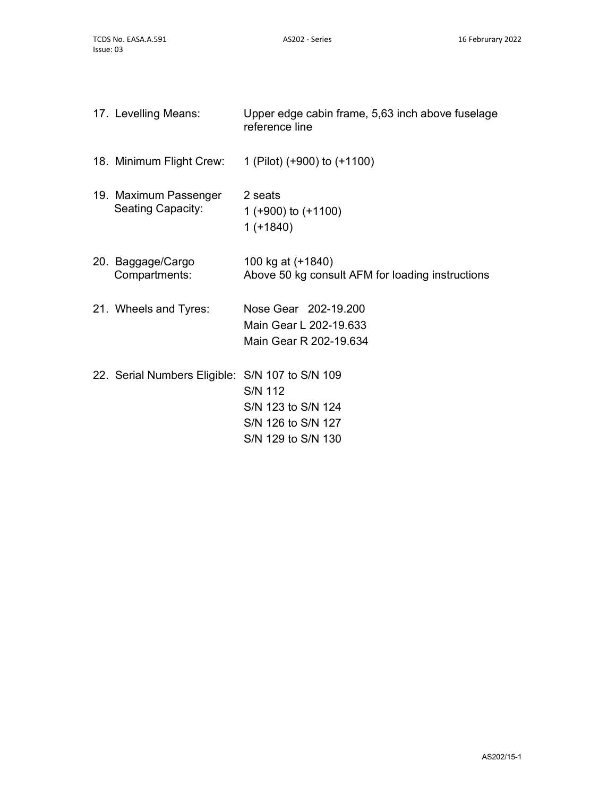| 17. Levelling Means:                              | Upper edge cabin frame, 5,63 inch above fuselage<br>reference line               |
|---------------------------------------------------|----------------------------------------------------------------------------------|
| 18. Minimum Flight Crew:                          | 1 (Pilot) (+900) to (+1100)                                                      |
| 19. Maximum Passenger<br><b>Seating Capacity:</b> | 2 seats<br>1 (+900) to $(+1100)$<br>$1 (+1840)$                                  |
| 20. Baggage/Cargo<br>Compartments:                | 100 kg at (+1840)<br>Above 50 kg consult AFM for loading instructions            |
| 21. Wheels and Tyres:                             | Nose Gear 202-19,200<br>Main Gear L 202-19.633<br>Main Gear R 202-19.634         |
| 22. Serial Numbers Eligible: S/N 107 to S/N 109   | <b>S/N 112</b><br>S/N 123 to S/N 124<br>S/N 126 to S/N 127<br>S/N 129 to S/N 130 |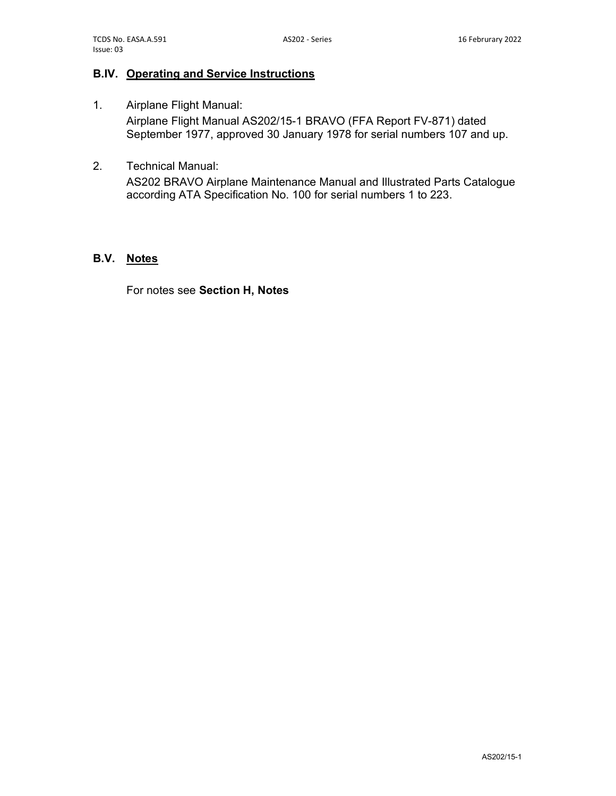## B.IV. Operating and Service Instructions

- 1. Airplane Flight Manual: Airplane Flight Manual AS202/15-1 BRAVO (FFA Report FV-871) dated September 1977, approved 30 January 1978 for serial numbers 107 and up.
- 2. Technical Manual:

AS202 BRAVO Airplane Maintenance Manual and Illustrated Parts Catalogue according ATA Specification No. 100 for serial numbers 1 to 223.

#### B.V. Notes

For notes see Section H, Notes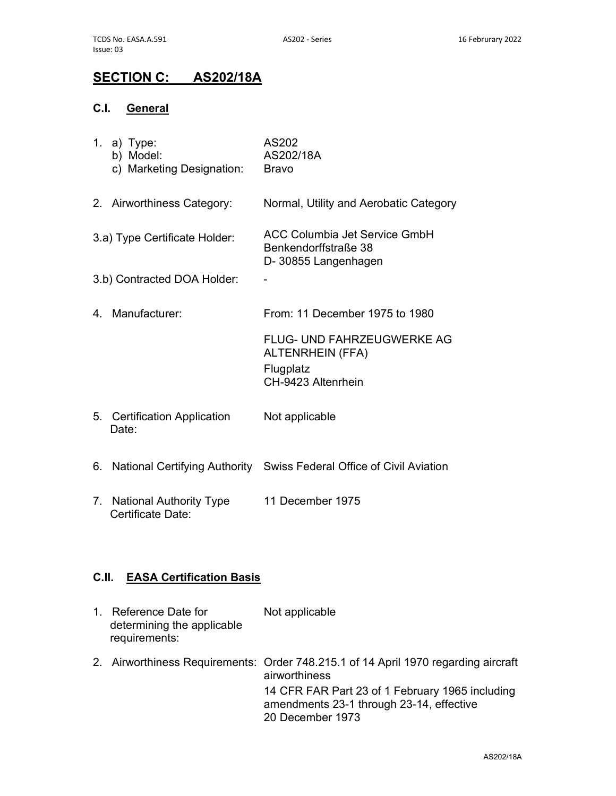# SECTION C: AS202/18A

## C.I. General

|    | 1. a) Type:<br>b) Model:<br>c) Marketing Designation: | AS202<br>AS202/18A<br><b>Bravo</b>                                                              |
|----|-------------------------------------------------------|-------------------------------------------------------------------------------------------------|
|    | 2. Airworthiness Category:                            | Normal, Utility and Aerobatic Category                                                          |
|    | 3.a) Type Certificate Holder:                         | <b>ACC Columbia Jet Service GmbH</b><br>Benkendorffstraße 38<br>D-30855 Langenhagen             |
|    | 3.b) Contracted DOA Holder:                           |                                                                                                 |
|    | 4. Manufacturer:                                      | From: 11 December 1975 to 1980                                                                  |
|    |                                                       | <b>FLUG- UND FAHRZEUGWERKE AG</b><br><b>ALTENRHEIN (FFA)</b><br>Flugplatz<br>CH-9423 Altenrhein |
|    | 5. Certification Application<br>Date:                 | Not applicable                                                                                  |
|    | 6. National Certifying Authority                      | Swiss Federal Office of Civil Aviation                                                          |
| 7. | <b>National Authority Type</b><br>Certificate Date:   | 11 December 1975                                                                                |

## C.II. EASA Certification Basis

| 1. Reference Date for<br>determining the applicable<br>requirements: | Not applicable                                                                                      |
|----------------------------------------------------------------------|-----------------------------------------------------------------------------------------------------|
|                                                                      | 2. Airworthiness Requirements: Order 748.215.1 of 14 April 1970 regarding aircraft<br>airworthiness |
|                                                                      | 14 CFR FAR Part 23 of 1 February 1965 including<br>amendments 23-1 through 23-14, effective         |
|                                                                      | 20 December 1973                                                                                    |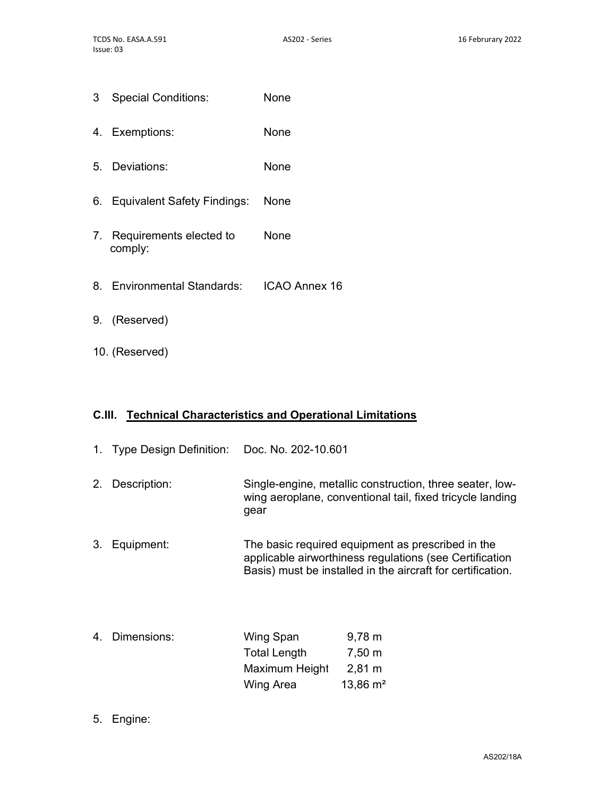- 3 Special Conditions: None
- 4. Exemptions: None
- 5. Deviations: None
- 6. Equivalent Safety Findings: None
- 7. Requirements elected to comply: None
- 8. Environmental Standards: ICAO Annex 16
- 9. (Reserved)
- 10. (Reserved)

### C.III. Technical Characteristics and Operational Limitations

| $1_{\cdot}$ | Type Design Definition: Doc. No. 202-10.601 |                                             |                                                                                                                                                                             |
|-------------|---------------------------------------------|---------------------------------------------|-----------------------------------------------------------------------------------------------------------------------------------------------------------------------------|
| 2.          | Description:                                | gear                                        | Single-engine, metallic construction, three seater, low-<br>wing aeroplane, conventional tail, fixed tricycle landing                                                       |
| 3.          | Equipment:                                  |                                             | The basic required equipment as prescribed in the<br>applicable airworthiness regulations (see Certification<br>Basis) must be installed in the aircraft for certification. |
|             | 4. Dimensions:                              | Wing Span<br>Total Length<br>Maximum Height | $9,78 \; m$<br>$7,50 \; m$<br>$2,81 \; \text{m}$                                                                                                                            |

13,86 m²

Wing Area

5. Engine: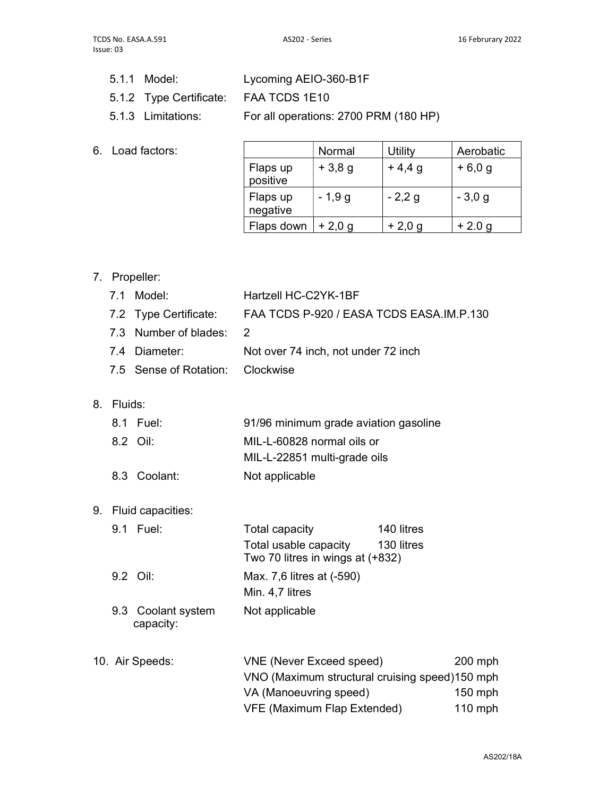- 5.1.1 Model: Lycoming AEIO-360-B1F
- 5.1.2 Type Certificate: FAA TCDS 1E10
- 5.1.3 Limitations: For all operations: 2700 PRM (180 HP)
- 6. Load factors:

|                      | Normal   | Utility  | Aerobatic |
|----------------------|----------|----------|-----------|
| Flaps up<br>positive | $+3,8,9$ | $+4,4,9$ | $+6,0,9$  |
| Flaps up<br>negative | $-1,9g$  | $-2,2g$  | $-3,0,9$  |
| Flaps down           | $+2,0,9$ | $+2,0,9$ | $+2.0 g$  |

7. Propeller:

|    | 7.1     | Model:                          | Hartzell HC-C2YK-1BF                                                                                           |           |
|----|---------|---------------------------------|----------------------------------------------------------------------------------------------------------------|-----------|
|    |         | 7.2 Type Certificate:           | FAA TCDS P-920 / EASA TCDS EASA.IM.P.130                                                                       |           |
|    |         | 7.3 Number of blades:           | 2                                                                                                              |           |
|    |         | 7.4 Diameter:                   | Not over 74 inch, not under 72 inch                                                                            |           |
|    |         | 7.5 Sense of Rotation:          | Clockwise                                                                                                      |           |
| 8. | Fluids: |                                 |                                                                                                                |           |
|    |         | 8.1 Fuel:                       | 91/96 minimum grade aviation gasoline                                                                          |           |
|    |         | 8.2 Oil:                        | MIL-L-60828 normal oils or<br>MIL-L-22851 multi-grade oils                                                     |           |
|    |         | 8.3 Coolant:                    | Not applicable                                                                                                 |           |
| 9. |         | Fluid capacities:               |                                                                                                                |           |
|    |         | 9.1 Fuel:                       | <b>Total capacity</b><br>140 litres<br>Total usable capacity<br>130 litres<br>Two 70 litres in wings at (+832) |           |
|    |         | 9.2 Oil:                        | Max. 7,6 litres at (-590)<br>Min. 4,7 litres                                                                   |           |
|    |         | 9.3 Coolant system<br>capacity: | Not applicable                                                                                                 |           |
|    |         | 10. Air Speeds:                 | <b>VNE (Never Exceed speed)</b>                                                                                | 200 mph   |
|    |         |                                 | VNO (Maximum structural cruising speed)150 mph                                                                 |           |
|    |         |                                 | VA (Manoeuvring speed)                                                                                         | 150 mph   |
|    |         |                                 | <b>VFE (Maximum Flap Extended)</b>                                                                             | $110$ mph |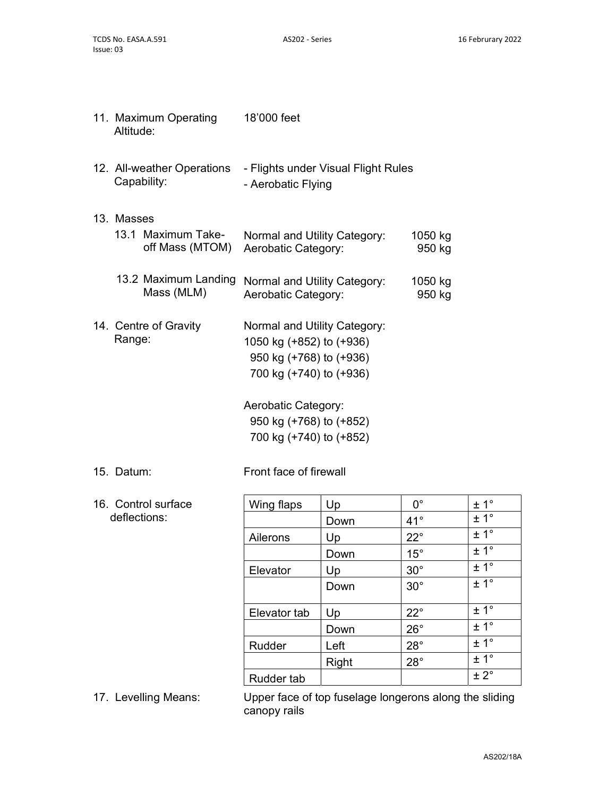| Altitude:  | 11. Maximum Operating                     | 18'000 feet                                                                                                    |                   |
|------------|-------------------------------------------|----------------------------------------------------------------------------------------------------------------|-------------------|
|            | 12. All-weather Operations<br>Capability: | - Flights under Visual Flight Rules<br>- Aerobatic Flying                                                      |                   |
| 13. Masses |                                           |                                                                                                                |                   |
|            | 13.1 Maximum Take-<br>off Mass (MTOM)     | Normal and Utility Category:<br>Aerobatic Category:                                                            | 1050 kg<br>950 kg |
|            | 13.2 Maximum Landing<br>Mass (MLM)        | Normal and Utility Category:<br>Aerobatic Category:                                                            | 1050 kg<br>950 kg |
| Range:     | 14. Centre of Gravity                     | Normal and Utility Category:<br>1050 kg (+852) to (+936)<br>950 kg (+768) to (+936)<br>700 kg (+740) to (+936) |                   |
|            |                                           | Aerobatic Category:<br>950 kg (+768) to (+852)<br>700 kg (+740) to (+852)                                      |                   |

15. Datum: Front face of firewall

16. Control surface deflections:

| Wing flaps   | Up           | $0^{\circ}$  | ± 1 <sup>°</sup> |
|--------------|--------------|--------------|------------------|
|              | Down         | $41^{\circ}$ | ± 1°             |
| Ailerons     | Up           | $22^{\circ}$ | ± 1 <sup>°</sup> |
|              | Down         | $15^\circ$   | ± 1°             |
| Elevator     | Up           | $30^\circ$   | ± 1 <sup>°</sup> |
|              | Down         | $30^\circ$   | ± 1°             |
|              |              | $22^{\circ}$ | ± 1°             |
| Elevator tab | Up           |              |                  |
|              | Down         | $26^{\circ}$ | ± 1 <sup>°</sup> |
| Rudder       | Left         | $28^\circ$   | ± 1°             |
|              | <b>Right</b> | $28^\circ$   | ± 1 <sup>°</sup> |
| Rudder tab   |              |              | ± 2°             |
|              |              |              |                  |

17. Levelling Means: Upper face of top fuselage longerons along the sliding canopy rails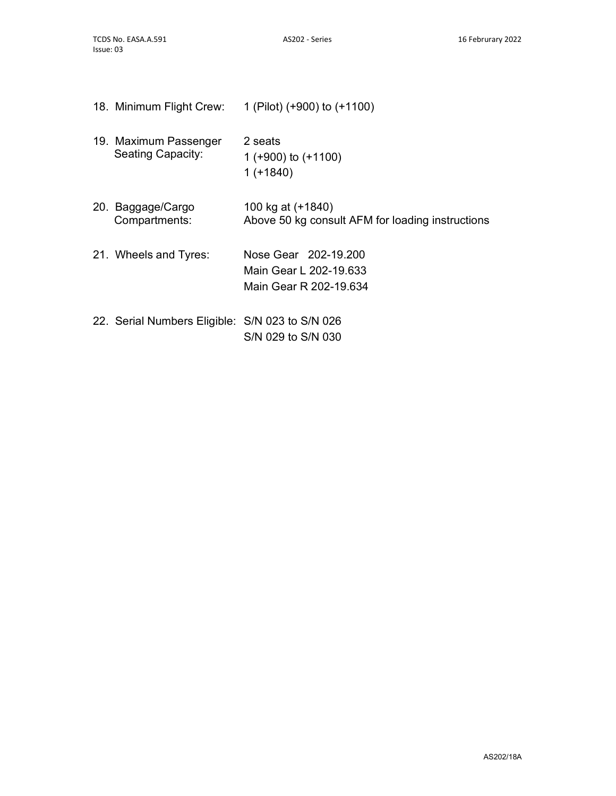| 18. Minimum Flight Crew:                          | 1 (Pilot) (+900) to (+1100)                                              |
|---------------------------------------------------|--------------------------------------------------------------------------|
| 19. Maximum Passenger<br><b>Seating Capacity:</b> | 2 seats<br>1 ( $+900$ ) to ( $+1100$ )<br>$1 (+1840)$                    |
| 20. Baggage/Cargo<br>Compartments:                | 100 kg at (+1840)<br>Above 50 kg consult AFM for loading instructions    |
| 21. Wheels and Tyres:                             | Nose Gear 202-19.200<br>Main Gear L 202-19.633<br>Main Gear R 202-19.634 |
| 22. Serial Numbers Eligible: S/N 023 to S/N 026   |                                                                          |

S/N 029 to S/N 030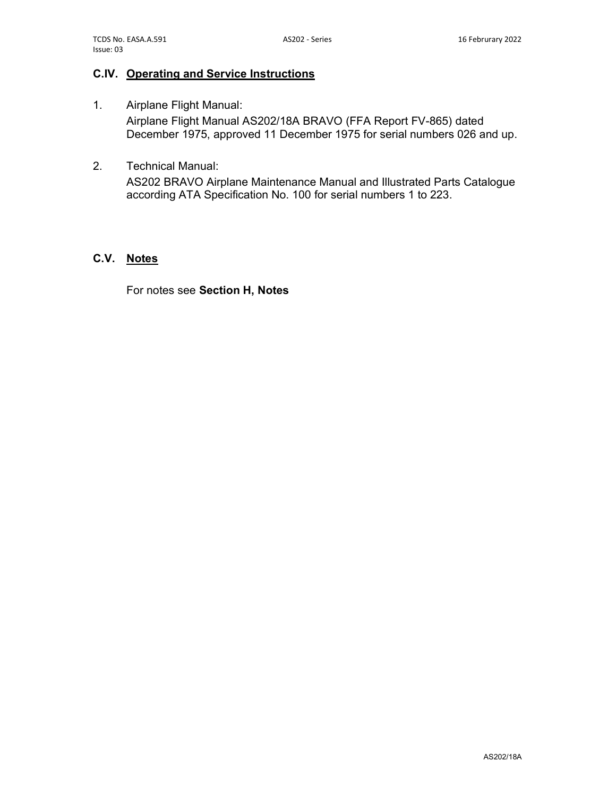#### C.IV. Operating and Service Instructions

- 1. Airplane Flight Manual: Airplane Flight Manual AS202/18A BRAVO (FFA Report FV-865) dated December 1975, approved 11 December 1975 for serial numbers 026 and up.
- 2. Technical Manual:

AS202 BRAVO Airplane Maintenance Manual and Illustrated Parts Catalogue according ATA Specification No. 100 for serial numbers 1 to 223.

#### C.V. Notes

For notes see Section H, Notes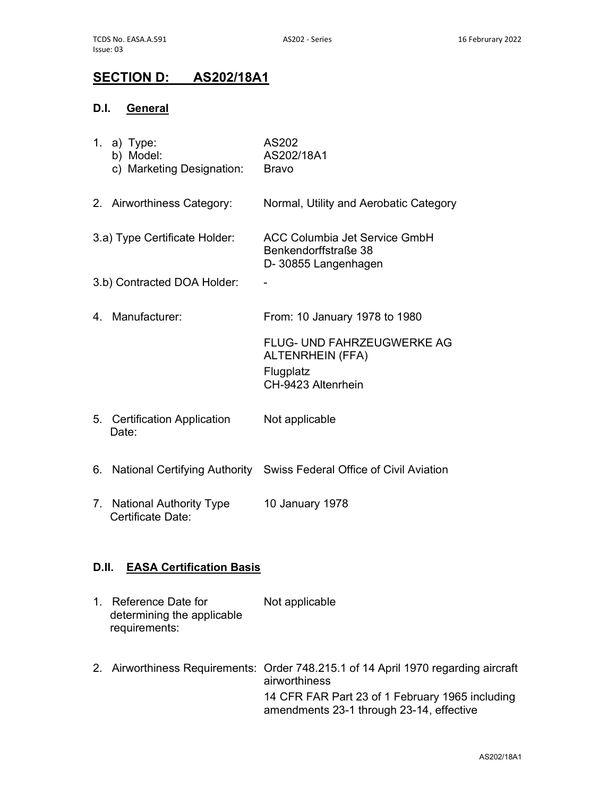# SECTION D: AS202/18A1

## D.I. General

|       | 1. a) Type:<br>b) Model:<br>c) Marketing Designation:                | AS202<br>AS202/18A1<br><b>Bravo</b>                                                              |
|-------|----------------------------------------------------------------------|--------------------------------------------------------------------------------------------------|
|       | 2. Airworthiness Category:                                           | Normal, Utility and Aerobatic Category                                                           |
|       | 3.a) Type Certificate Holder:                                        | ACC Columbia Jet Service GmbH<br>Benkendorffstraße 38<br>D-30855 Langenhagen                     |
|       | 3.b) Contracted DOA Holder:                                          |                                                                                                  |
|       | 4. Manufacturer:                                                     | From: 10 January 1978 to 1980                                                                    |
|       |                                                                      | FLUG- UND FAHRZEUGWERKE AG<br><b>ALTENRHEIN (FFA)</b><br>Flugplatz<br>CH-9423 Altenrhein         |
|       | 5. Certification Application<br>Date:                                | Not applicable                                                                                   |
|       |                                                                      | 6. National Certifying Authority Swiss Federal Office of Civil Aviation                          |
|       | 7. National Authority Type<br>Certificate Date:                      | 10 January 1978                                                                                  |
| D.II. | <b>EASA Certification Basis</b>                                      |                                                                                                  |
|       | 1. Reference Date for<br>determining the applicable<br>requirements: | Not applicable                                                                                   |
| 2.    |                                                                      | Airworthiness Requirements: Order 748.215.1 of 14 April 1970 regarding aircraft<br>airworthiness |

14 CFR FAR Part 23 of 1 February 1965 including

amendments 23-1 through 23-14, effective

AS202/18A1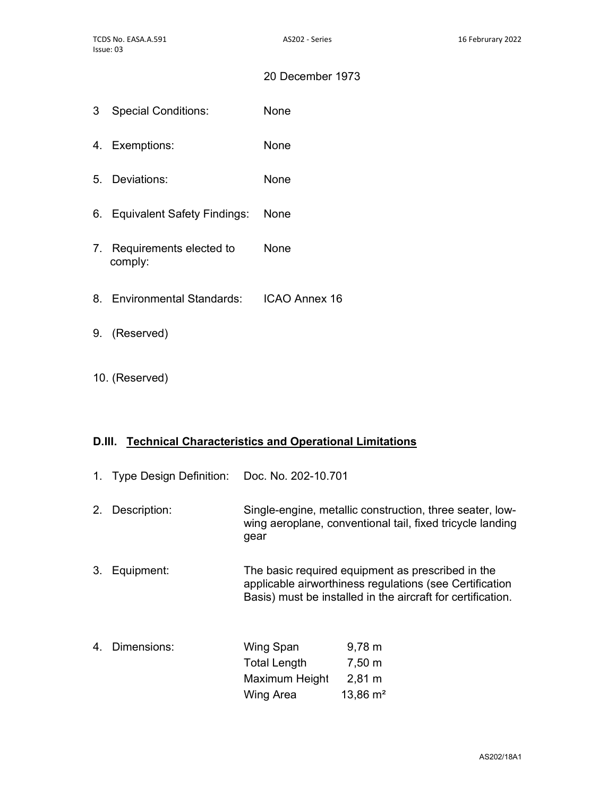#### 20 December 1973

- 3 Special Conditions: None
- 4. Exemptions: None
- 5. Deviations: None
- 6. Equivalent Safety Findings: None
- 7. Requirements elected to comply: None
- 8. Environmental Standards: ICAO Annex 16
- 9. (Reserved)
- 10. (Reserved)

#### D.III. Technical Characteristics and Operational Limitations

- 1. Type Design Definition: Doc. No. 202-10.701
- 2. Description: Single-engine, metallic construction, three seater, lowwing aeroplane, conventional tail, fixed tricycle landing gear
- 3. Equipment: The basic required equipment as prescribed in the applicable airworthiness regulations (see Certification Basis) must be installed in the aircraft for certification.
- 4. Dimensions: Wing Span Total Length Maximum Height Wing Area 9,78 m 7,50 m 2,81 m 13,86 m²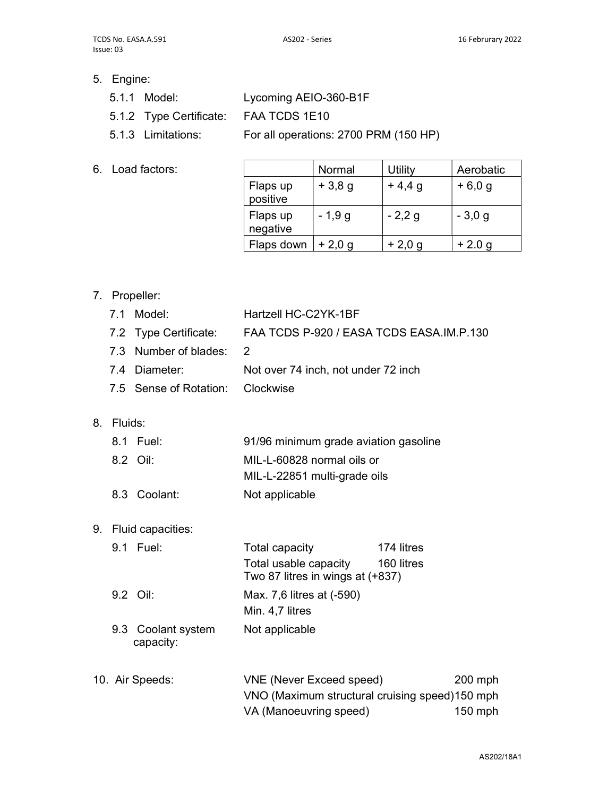- 5. Engine:
	- 5.1.1 Model: Lycoming AEIO-360-B1F
	- 5.1.2 Type Certificate: FAA TCDS 1E10
	- 5.1.3 Limitations: For all operations: 2700 PRM (150 HP)
- 6. Load factors:

|                      | Normal   | <b>Utility</b> | Aerobatic |
|----------------------|----------|----------------|-----------|
| Flaps up<br>positive | $+3,8,9$ | $+4,4,9$       | $+6,0,9$  |
| Flaps up<br>negative | $-1,9g$  | $-2,2,9$       | $-3,0,9$  |
| Flaps down           | $+2,0,9$ | $+2,0,9$       | $+2.0 g$  |

## 7. Propeller:

|    | 7.1     | Model:                          | Hartzell HC-C2YK-1BF                                                                                        |                          |                    |
|----|---------|---------------------------------|-------------------------------------------------------------------------------------------------------------|--------------------------|--------------------|
|    |         | 7.2 Type Certificate:           | FAA TCDS P-920 / EASA TCDS EASA.IM.P.130                                                                    |                          |                    |
|    |         | 7.3 Number of blades:           | 2                                                                                                           |                          |                    |
|    |         | 7.4 Diameter:                   | Not over 74 inch, not under 72 inch                                                                         |                          |                    |
|    |         | 7.5 Sense of Rotation:          | Clockwise                                                                                                   |                          |                    |
| 8. | Fluids: |                                 |                                                                                                             |                          |                    |
|    |         | 8.1 Fuel:                       | 91/96 minimum grade aviation gasoline                                                                       |                          |                    |
|    |         | 8.2 Oil:                        | MIL-L-60828 normal oils or<br>MIL-L-22851 multi-grade oils                                                  |                          |                    |
|    |         | 8.3 Coolant:                    | Not applicable                                                                                              |                          |                    |
| 9. |         | Fluid capacities:               |                                                                                                             |                          |                    |
|    |         | 9.1 Fuel:                       | <b>Total capacity</b><br>Total usable capacity<br>Two 87 litres in wings at (+837)                          | 174 litres<br>160 litres |                    |
|    |         | 9.2 Oil:                        | Max. 7,6 litres at (-590)<br>Min. 4,7 litres                                                                |                          |                    |
|    |         | 9.3 Coolant system<br>capacity: | Not applicable                                                                                              |                          |                    |
|    |         | 10. Air Speeds:                 | <b>VNE (Never Exceed speed)</b><br>VNO (Maximum structural cruising speed)150 mph<br>VA (Manoeuvring speed) |                          | 200 mph<br>150 mph |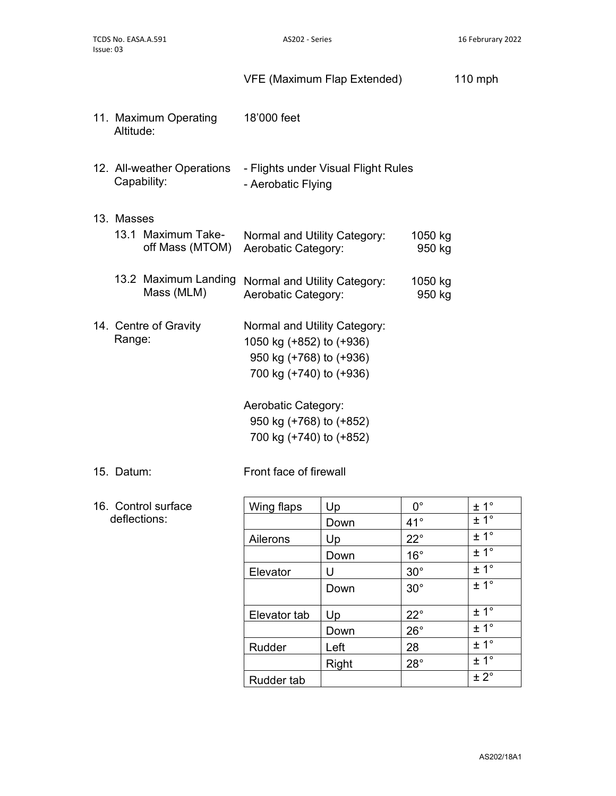|            |                                           | VFE (Maximum Flap Extended)                                                                                                                                                                 |                   | $110$ mph |
|------------|-------------------------------------------|---------------------------------------------------------------------------------------------------------------------------------------------------------------------------------------------|-------------------|-----------|
| Altitude:  | 11. Maximum Operating                     | 18'000 feet                                                                                                                                                                                 |                   |           |
|            | 12. All-weather Operations<br>Capability: | - Flights under Visual Flight Rules<br>- Aerobatic Flying                                                                                                                                   |                   |           |
| 13. Masses | 13.1 Maximum Take-<br>off Mass (MTOM)     | Normal and Utility Category:<br>Aerobatic Category:                                                                                                                                         | 1050 kg<br>950 kg |           |
|            | 13.2 Maximum Landing<br>Mass (MLM)        | Normal and Utility Category:<br>Aerobatic Category:                                                                                                                                         | 1050 kg<br>950 kg |           |
| Range:     | 14. Centre of Gravity                     | Normal and Utility Category:<br>1050 kg (+852) to (+936)<br>950 kg (+768) to (+936)<br>700 kg (+740) to (+936)<br>Aerobatic Category:<br>950 kg (+768) to (+852)<br>700 kg (+740) to (+852) |                   |           |
|            |                                           |                                                                                                                                                                                             |                   |           |

#### 15. Datum: Front face of firewall

16. Control surface deflections:

| Up           | $0^{\circ}$  | $± 1^{\circ}$    |
|--------------|--------------|------------------|
| Down         | $41^{\circ}$ | ± 1°             |
| Up           | $22^{\circ}$ | ± 1°             |
| Down         | $16^{\circ}$ | ± 1 <sup>°</sup> |
| U            | $30^{\circ}$ | ± 1°             |
| Down         | $30^\circ$   | ± 1 <sup>°</sup> |
|              |              |                  |
| Up           | $22^{\circ}$ | ± 1 <sup>°</sup> |
| Down         | $26^{\circ}$ | $\pm 1^{\circ}$  |
| Left         | 28           | $\pm 1^{\circ}$  |
| <b>Right</b> | $28^\circ$   | ± 1°             |
|              |              | ± 2°             |
|              |              |                  |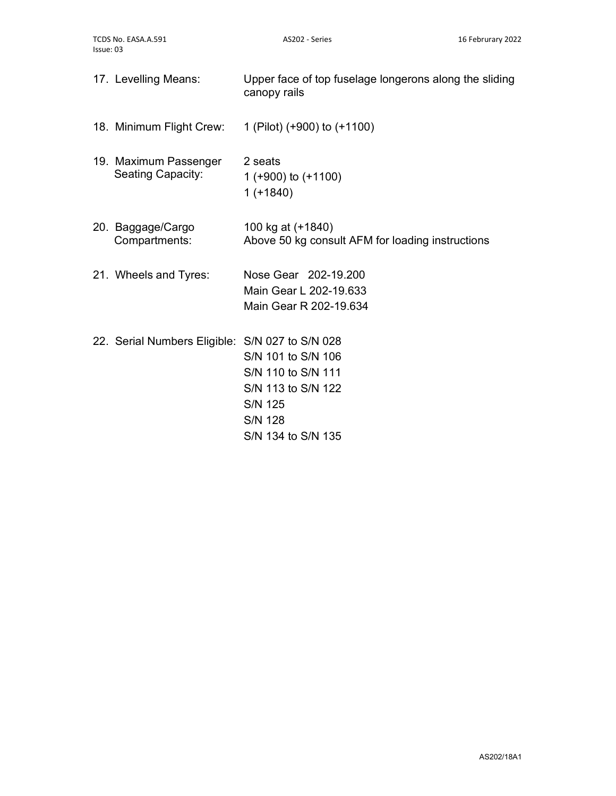| 17. Levelling Means:                              | Upper face of top fuselage longerons along the sliding<br>canopy rails                                                   |
|---------------------------------------------------|--------------------------------------------------------------------------------------------------------------------------|
| 18. Minimum Flight Crew:                          | 1 (Pilot) (+900) to (+1100)                                                                                              |
| 19. Maximum Passenger<br><b>Seating Capacity:</b> | 2 seats<br>1 (+900) to $(+1100)$<br>$1 (+1840)$                                                                          |
| 20. Baggage/Cargo<br>Compartments:                | 100 kg at (+1840)<br>Above 50 kg consult AFM for loading instructions                                                    |
| 21. Wheels and Tyres:                             | Nose Gear 202-19.200<br>Main Gear L 202-19.633<br>Main Gear R 202-19.634                                                 |
| 22. Serial Numbers Eligible: S/N 027 to S/N 028   | S/N 101 to S/N 106<br>S/N 110 to S/N 111<br>S/N 113 to S/N 122<br><b>S/N 125</b><br><b>S/N 128</b><br>S/N 134 to S/N 135 |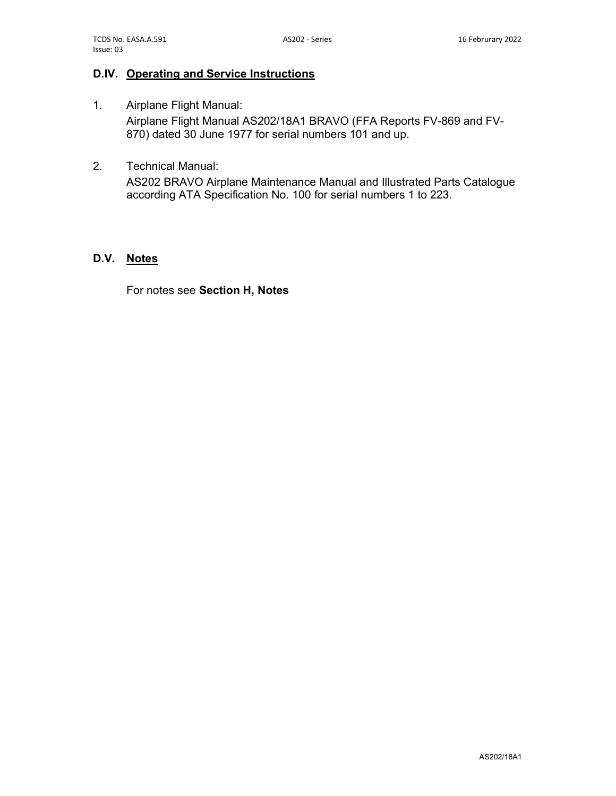## D.IV. Operating and Service Instructions

- 1. Airplane Flight Manual: Airplane Flight Manual AS202/18A1 BRAVO (FFA Reports FV-869 and FV-870) dated 30 June 1977 for serial numbers 101 and up.
- 2. Technical Manual:

AS202 BRAVO Airplane Maintenance Manual and Illustrated Parts Catalogue according ATA Specification No. 100 for serial numbers 1 to 223.

#### D.V. Notes

For notes see Section H, Notes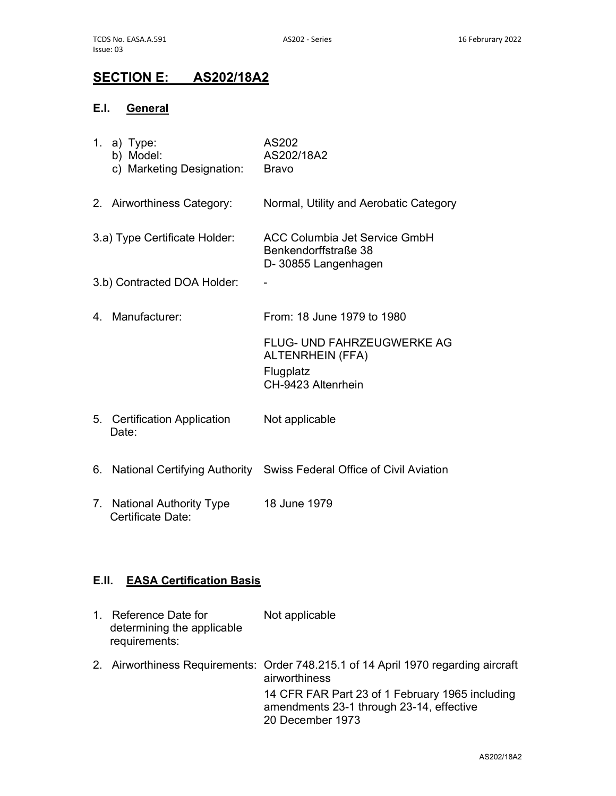# SECTION E: AS202/18A2

## E.I. General

| 1. | a) Type:<br>b) Model:<br>c) Marketing Designation:  | AS202<br>AS202/18A2<br><b>Bravo</b>                                                             |
|----|-----------------------------------------------------|-------------------------------------------------------------------------------------------------|
|    | 2. Airworthiness Category:                          | Normal, Utility and Aerobatic Category                                                          |
|    | 3.a) Type Certificate Holder:                       | <b>ACC Columbia Jet Service GmbH</b><br>Benkendorffstraße 38<br>D-30855 Langenhagen             |
|    | 3.b) Contracted DOA Holder:                         |                                                                                                 |
|    | 4. Manufacturer:                                    | From: 18 June 1979 to 1980                                                                      |
|    |                                                     | <b>FLUG- UND FAHRZEUGWERKE AG</b><br><b>ALTENRHEIN (FFA)</b><br>Flugplatz<br>CH-9423 Altenrhein |
|    | 5. Certification Application<br>Date:               | Not applicable                                                                                  |
| 6. |                                                     | National Certifying Authority Swiss Federal Office of Civil Aviation                            |
| 7. | <b>National Authority Type</b><br>Certificate Date: | 18 June 1979                                                                                    |
|    |                                                     |                                                                                                 |

## E.II. EASA Certification Basis

| $1_{-}$ | Reference Date for<br>determining the applicable<br>requirements: | Not applicable                                                                                                  |
|---------|-------------------------------------------------------------------|-----------------------------------------------------------------------------------------------------------------|
|         |                                                                   | 2. Airworthiness Requirements: Order 748.215.1 of 14 April 1970 regarding aircraft<br>airworthiness             |
|         |                                                                   | 14 CFR FAR Part 23 of 1 February 1965 including<br>amendments 23-1 through 23-14, effective<br>20 December 1973 |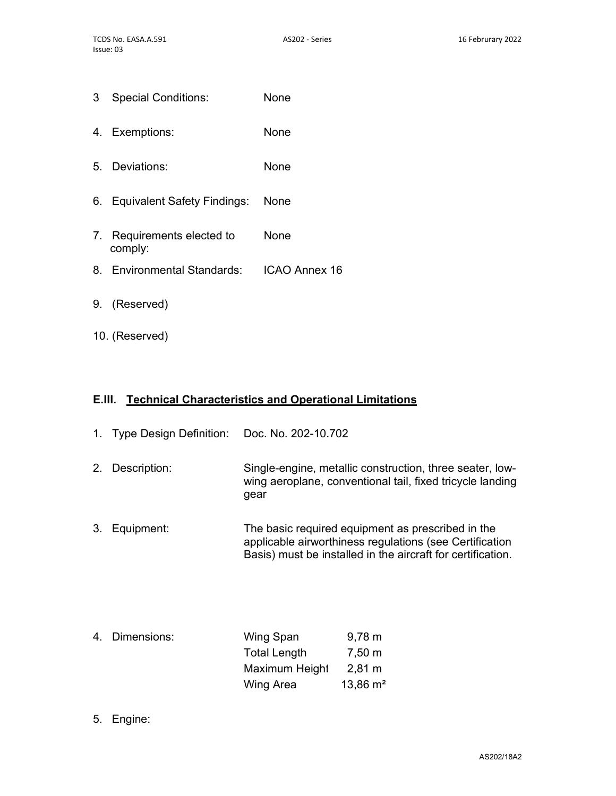- 3 Special Conditions: None
- 4. Exemptions: None
- 5. Deviations: None
- 6. Equivalent Safety Findings: None
- 7. Requirements elected to comply: None
- 8. Environmental Standards: ICAO Annex 16
- 9. (Reserved)
- 10. (Reserved)

## E.III. Technical Characteristics and Operational Limitations

| 1. | Type Design Definition: Doc. No. 202-10.702 |                                                                                                                                                                             |
|----|---------------------------------------------|-----------------------------------------------------------------------------------------------------------------------------------------------------------------------------|
| 2. | Description:                                | Single-engine, metallic construction, three seater, low-<br>wing aeroplane, conventional tail, fixed tricycle landing<br>gear                                               |
| 3. | Equipment:                                  | The basic required equipment as prescribed in the<br>applicable airworthiness regulations (see Certification<br>Basis) must be installed in the aircraft for certification. |

| 4. Dimensions: | Wing Span           | $9,78 \; \mathrm{m}$ |
|----------------|---------------------|----------------------|
|                | <b>Total Length</b> | 7,50 m               |
|                | Maximum Height      | $2,81 \; \mathrm{m}$ |
|                | Wing Area           | $13,86 \text{ m}^2$  |

5. Engine: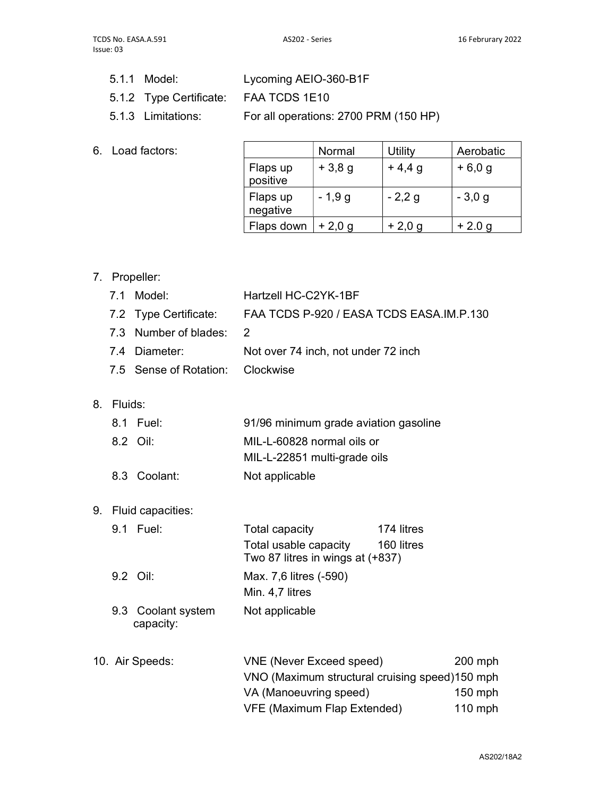- 5.1.1 Model: Lycoming AEIO-360-B1F
- 5.1.2 Type Certificate: FAA TCDS 1E10
- 5.1.3 Limitations: For all operations: 2700 PRM (150 HP)
- 6. Load factors:

|                      | Normal   | Utility  | Aerobatic |
|----------------------|----------|----------|-----------|
| Flaps up<br>positive | $+3,8,9$ | $+4,4,9$ | $+6,0,9$  |
| Flaps up<br>negative | $-1,9g$  | $-2,2g$  | $-3,0,9$  |
| Flaps down           | $+2,0,9$ | $+2,0,9$ | $+2.0 g$  |

7. Propeller:

|    | 7.1     | Model:                          | Hartzell HC-C2YK-1BF                                                                                    |           |
|----|---------|---------------------------------|---------------------------------------------------------------------------------------------------------|-----------|
|    |         | 7.2 Type Certificate:           | FAA TCDS P-920 / EASA TCDS EASA.IM.P.130                                                                |           |
|    |         | 7.3 Number of blades:           | 2                                                                                                       |           |
|    | 7.4     | Diameter:                       | Not over 74 inch, not under 72 inch                                                                     |           |
|    |         | 7.5 Sense of Rotation:          | Clockwise                                                                                               |           |
| 8. | Fluids: |                                 |                                                                                                         |           |
|    |         | 8.1 Fuel:                       | 91/96 minimum grade aviation gasoline                                                                   |           |
|    |         | 8.2 Oil:                        | MIL-L-60828 normal oils or<br>MIL-L-22851 multi-grade oils                                              |           |
|    |         | 8.3 Coolant:                    | Not applicable                                                                                          |           |
|    |         | 9. Fluid capacities:            |                                                                                                         |           |
|    |         | 9.1 Fuel:                       | 174 litres<br>Total capacity<br>Total usable capacity<br>160 litres<br>Two 87 litres in wings at (+837) |           |
|    |         | 9.2 Oil:                        | Max. 7,6 litres (-590)<br>Min. 4,7 litres                                                               |           |
|    |         | 9.3 Coolant system<br>capacity: | Not applicable                                                                                          |           |
|    |         | 10. Air Speeds:                 | <b>VNE (Never Exceed speed)</b>                                                                         | 200 mph   |
|    |         |                                 | VNO (Maximum structural cruising speed)150 mph                                                          |           |
|    |         |                                 | VA (Manoeuvring speed)                                                                                  | 150 mph   |
|    |         |                                 | <b>VFE (Maximum Flap Extended)</b>                                                                      | $110$ mph |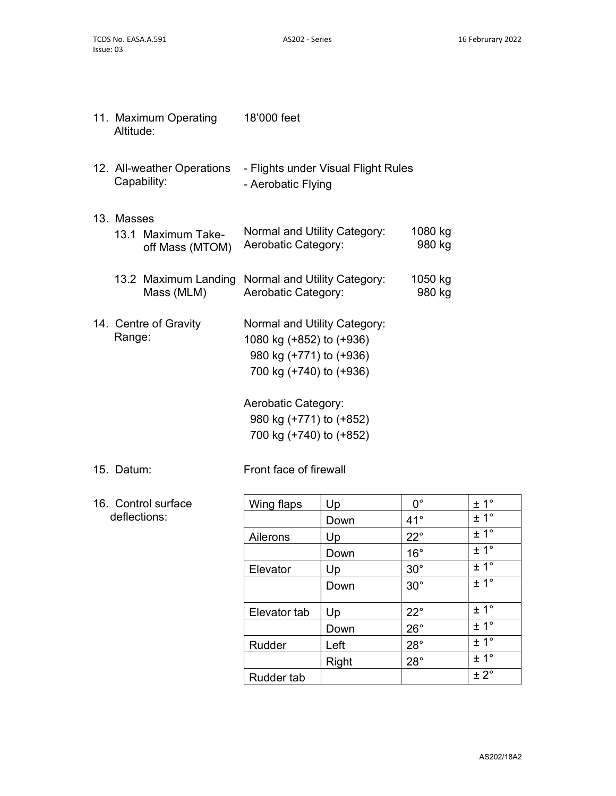| 11. Maximum Operating<br>Altitude: |                                           | 18'000 feet                                                                                                    |                   |  |
|------------------------------------|-------------------------------------------|----------------------------------------------------------------------------------------------------------------|-------------------|--|
|                                    | 12. All-weather Operations<br>Capability: | - Flights under Visual Flight Rules<br>- Aerobatic Flying                                                      |                   |  |
| 13. Masses                         | 13.1 Maximum Take-<br>off Mass (MTOM)     | Normal and Utility Category:<br>Aerobatic Category:                                                            | 1080 kg<br>980 kg |  |
|                                    | 13.2 Maximum Landing<br>Mass (MLM)        | Normal and Utility Category:<br>Aerobatic Category:                                                            | 1050 kg<br>980 kg |  |
| Range:                             | 14. Centre of Gravity                     | Normal and Utility Category:<br>1080 kg (+852) to (+936)<br>980 kg (+771) to (+936)<br>700 kg (+740) to (+936) |                   |  |
|                                    |                                           | Aerobatic Category:<br>980 kg (+771) to (+852)<br>700 kg (+740) to (+852)                                      |                   |  |
|                                    |                                           |                                                                                                                |                   |  |

15. Datum: Front face of firewall

16. Control surface deflections:

| Wing flaps        | Up    | $0^{\circ}$  | ± 1°             |
|-------------------|-------|--------------|------------------|
|                   | Down  | $41^{\circ}$ | $\pm 1^{\circ}$  |
| Ailerons          | Up    | $22^{\circ}$ | ± 1 <sup>°</sup> |
|                   | Down  | $16^{\circ}$ | ± 1°             |
| Elevator          | Up    | $30^\circ$   | ± 1°             |
|                   | Down  | $30^\circ$   | ± 1°             |
|                   |       |              |                  |
| Elevator tab      | Up    | $22^{\circ}$ | ± 1 <sup>°</sup> |
|                   | Down  | $26^{\circ}$ | $\pm 1^{\circ}$  |
| Rudder            | Left  | $28^\circ$   | ± 1 <sup>°</sup> |
|                   | Right | $28^\circ$   | ± 1 <sup>°</sup> |
| <b>Rudder tab</b> |       |              | $\pm 2^{\circ}$  |
|                   |       |              |                  |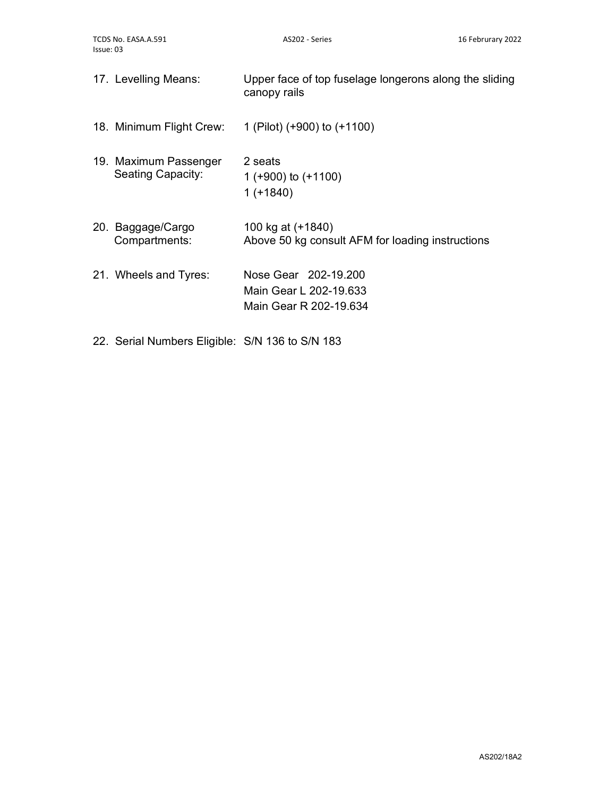| 17. Levelling Means:                              | Upper face of top fuselage longerons along the sliding<br>canopy rails   |
|---------------------------------------------------|--------------------------------------------------------------------------|
| 18. Minimum Flight Crew:                          | 1 (Pilot) (+900) to (+1100)                                              |
| 19. Maximum Passenger<br><b>Seating Capacity:</b> | 2 seats<br>1 ( $+900$ ) to ( $+1100$ )<br>$1 (+1840)$                    |
| 20. Baggage/Cargo<br>Compartments:                | 100 kg at (+1840)<br>Above 50 kg consult AFM for loading instructions    |
| 21. Wheels and Tyres:                             | Nose Gear 202-19,200<br>Main Gear L 202-19.633<br>Main Gear R 202-19.634 |

22. Serial Numbers Eligible: S/N 136 to S/N 183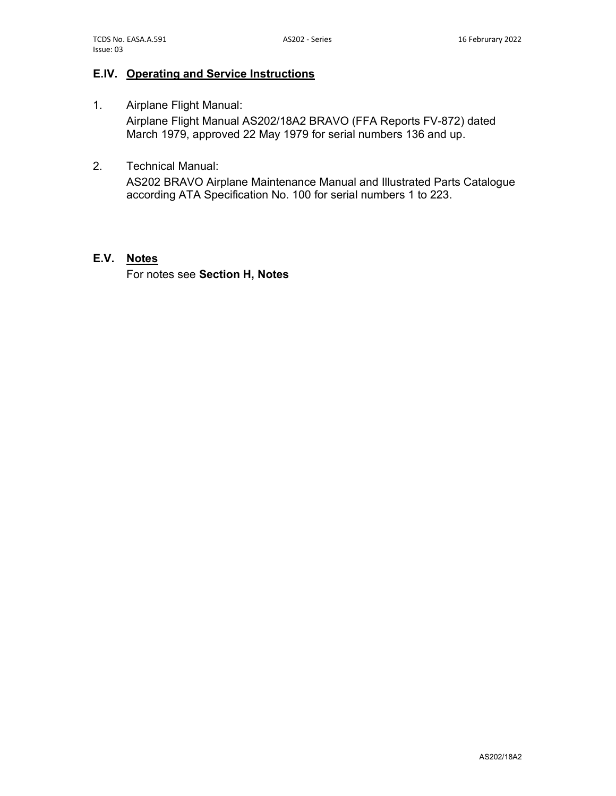## E.IV. Operating and Service Instructions

- 1. Airplane Flight Manual: Airplane Flight Manual AS202/18A2 BRAVO (FFA Reports FV-872) dated March 1979, approved 22 May 1979 for serial numbers 136 and up.
- 2. Technical Manual:

AS202 BRAVO Airplane Maintenance Manual and Illustrated Parts Catalogue according ATA Specification No. 100 for serial numbers 1 to 223.

#### E.V. Notes

For notes see Section H, Notes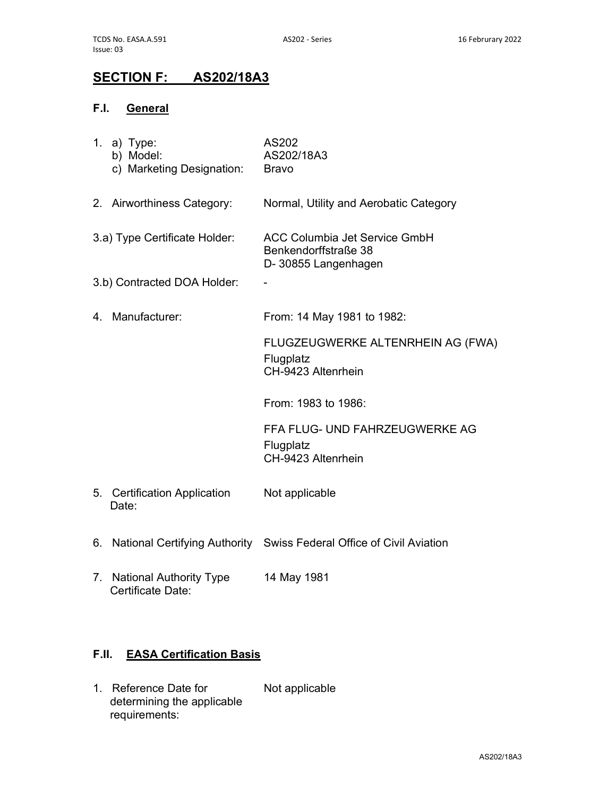# SECTION F: AS202/18A3

## F.I. General

|    | 1. a) Type:<br>b) Model:<br>c) Marketing Designation: | AS202<br>AS202/18A3<br><b>Bravo</b>                                                 |
|----|-------------------------------------------------------|-------------------------------------------------------------------------------------|
|    | 2. Airworthiness Category:                            | Normal, Utility and Aerobatic Category                                              |
|    | 3.a) Type Certificate Holder:                         | <b>ACC Columbia Jet Service GmbH</b><br>Benkendorffstraße 38<br>D-30855 Langenhagen |
|    | 3.b) Contracted DOA Holder:                           |                                                                                     |
| 4. | Manufacturer:                                         | From: 14 May 1981 to 1982:                                                          |
|    |                                                       | FLUGZEUGWERKE ALTENRHEIN AG (FWA)<br>Flugplatz<br>CH-9423 Altenrhein                |
|    |                                                       | From: 1983 to 1986:                                                                 |
|    |                                                       | FFA FLUG- UND FAHRZEUGWERKE AG<br>Flugplatz<br>CH-9423 Altenrhein                   |
| 5. | <b>Certification Application</b><br>Date:             | Not applicable                                                                      |
| 6. |                                                       | National Certifying Authority Swiss Federal Office of Civil Aviation                |
| 7. | <b>National Authority Type</b><br>Certificate Date:   | 14 May 1981                                                                         |
|    |                                                       |                                                                                     |

# F.II. EASA Certification Basis

1. Reference Date for determining the applicable requirements: Not applicable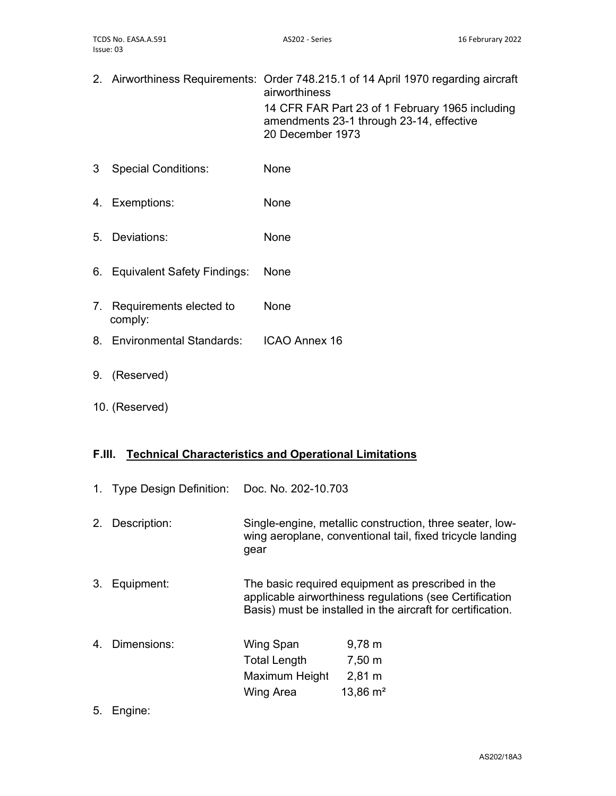- 2. Airworthiness Requirements: Order 748.215.1 of 14 April 1970 regarding aircraft airworthiness 14 CFR FAR Part 23 of 1 February 1965 including amendments 23-1 through 23-14, effective 20 December 1973 3 Special Conditions: None 4. Exemptions: None 5. Deviations: None 6. Equivalent Safety Findings: None
- 7. Requirements elected to comply: None

8. Environmental Standards: ICAO Annex 16

- 9. (Reserved)
- 10. (Reserved)

### F.III. Technical Characteristics and Operational Limitations

|    | 1. Type Design Definition: Doc. No. 202-10.703 |                                                          |                                                                                                                                                                             |
|----|------------------------------------------------|----------------------------------------------------------|-----------------------------------------------------------------------------------------------------------------------------------------------------------------------------|
| 2. | Description:                                   | gear                                                     | Single-engine, metallic construction, three seater, low-<br>wing aeroplane, conventional tail, fixed tricycle landing                                                       |
| 3. | Equipment:                                     |                                                          | The basic required equipment as prescribed in the<br>applicable airworthiness regulations (see Certification<br>Basis) must be installed in the aircraft for certification. |
| 4. | Dimensions:                                    | Wing Span<br>Total Length<br>Maximum Height<br>Wing Area | $9,78 \; m$<br>7,50 m<br>$2,81 \; \text{m}$<br>$13,86 \text{ m}^2$                                                                                                          |

5. Engine: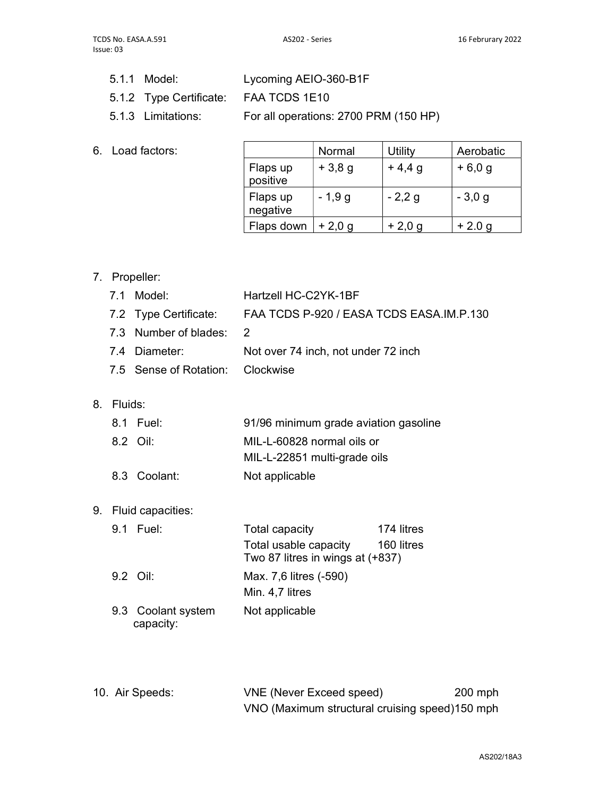- 5.1.1 Model: Lycoming AEIO-360-B1F
- 5.1.2 Type Certificate: FAA TCDS 1E10
- 5.1.3 Limitations: For all operations: 2700 PRM (150 HP)
- 6. Load factors:

|                      | Normal   | Utility  | Aerobatic |
|----------------------|----------|----------|-----------|
| Flaps up<br>positive | $+3,8g$  | $+4,4,9$ | $+6,0,9$  |
| Flaps up<br>negative | $-1,9g$  | $-2,2,9$ | $-3,0,9$  |
| Flaps down           | $+2,0,9$ | $+2,0,9$ | $+2.0 g$  |

7. Propeller:

|    | 7.1     | Model:                      | Hartzell HC-C2YK-1BF                                      |            |
|----|---------|-----------------------------|-----------------------------------------------------------|------------|
|    |         | 7.2 Type Certificate:       | FAA TCDS P-920 / EASA TCDS EASA.IM.P.130                  |            |
|    |         | 7.3 Number of blades:       | 2                                                         |            |
|    |         | 7.4 Diameter:               | Not over 74 inch, not under 72 inch                       |            |
|    |         | 7.5 Sense of Rotation:      | Clockwise                                                 |            |
|    |         |                             |                                                           |            |
| 8. | Fluids: |                             |                                                           |            |
|    |         | 8.1 Fuel:                   | 91/96 minimum grade aviation gasoline                     |            |
|    |         | 8.2 Oil:                    | MIL-L-60828 normal oils or                                |            |
|    |         |                             | MIL-L-22851 multi-grade oils                              |            |
|    |         | 8.3 Coolant:                | Not applicable                                            |            |
|    |         |                             |                                                           |            |
| 9. |         | Fluid capacities:           |                                                           |            |
|    |         | 9.1 Fuel:                   | <b>Total capacity</b>                                     | 174 litres |
|    |         |                             | Total usable capacity<br>Two 87 litres in wings at (+837) | 160 litres |
|    |         | 9.2 Oil:                    | Max. 7,6 litres (-590)                                    |            |
|    |         |                             | Min. 4,7 litres                                           |            |
|    | 9.3     | Coolant system<br>capacity: | Not applicable                                            |            |
|    |         |                             |                                                           |            |

| 10. Air Speeds: | <b>VNE (Never Exceed speed)</b>                | $200$ mph |
|-----------------|------------------------------------------------|-----------|
|                 | VNO (Maximum structural cruising speed)150 mph |           |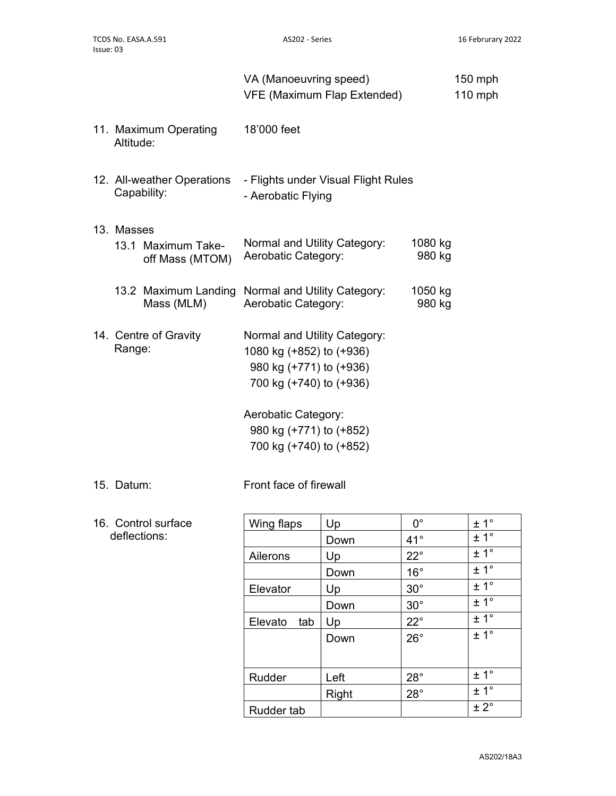|              |                                                                 | VA (Manoeuvring speed)                                                                                                                | <b>VFE (Maximum Flap Extended)</b>  |                                             | 150 mph<br>$110$ mph             |
|--------------|-----------------------------------------------------------------|---------------------------------------------------------------------------------------------------------------------------------------|-------------------------------------|---------------------------------------------|----------------------------------|
| Altitude:    | 11. Maximum Operating                                           | 18'000 feet                                                                                                                           |                                     |                                             |                                  |
|              | 12. All-weather Operations<br>Capability:                       | - Aerobatic Flying                                                                                                                    | - Flights under Visual Flight Rules |                                             |                                  |
| 13. Masses   | 13.1 Maximum Take-<br>off Mass (MTOM)                           | Normal and Utility Category:<br>Aerobatic Category:                                                                                   |                                     | 1080 kg<br>980 kg                           |                                  |
|              | 13.2 Maximum Landing Normal and Utility Category:<br>Mass (MLM) | Aerobatic Category:                                                                                                                   |                                     | 1050 kg<br>980 kg                           |                                  |
| Range:       | 14. Centre of Gravity                                           | Normal and Utility Category:<br>1080 kg (+852) to (+936)<br>980 kg (+771) to (+936)<br>700 kg (+740) to (+936)<br>Aerobatic Category: |                                     |                                             |                                  |
|              |                                                                 | 980 kg (+771) to (+852)<br>700 kg (+740) to (+852)                                                                                    |                                     |                                             |                                  |
| 15. Datum:   |                                                                 | Front face of firewall                                                                                                                |                                     |                                             |                                  |
| deflections: | 16. Control surface                                             | Wing flaps<br>Ailerons                                                                                                                | Up<br>Down<br>Up                    | $0^{\circ}$<br>$41^{\circ}$<br>$22^{\circ}$ | ± 1°<br>± 1 <sup>°</sup><br>± 1° |

Down  $16^\circ$   $\pm 1^\circ$ 

Down  $30^\circ$   $\pm 1^\circ$ <br>Un  $22^\circ$   $\pm 1^\circ$ 

Down  $26^\circ$   $\pm 1^\circ$ 

Elevator  $\begin{array}{|c|c|c|c|}\n\hline\n\end{array}$  Up 30°  $\begin{array}{|c|c|c|}\n\hline\n\end{array}$   $\pm 1$ °

Elevato tab  $|Up \t 22°$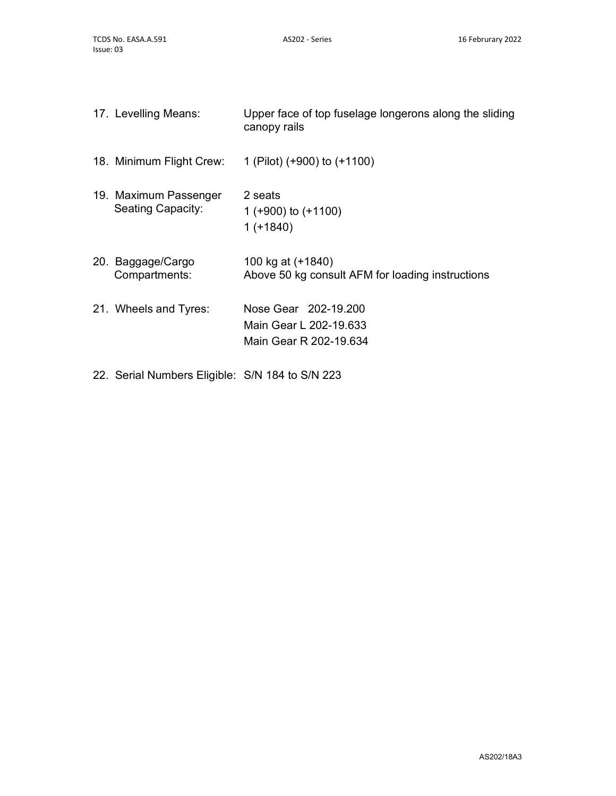| 17. Levelling Means:                              | Upper face of top fuselage longerons along the sliding<br>canopy rails   |
|---------------------------------------------------|--------------------------------------------------------------------------|
| 18. Minimum Flight Crew:                          | 1 (Pilot) $(+900)$ to $(+1100)$                                          |
| 19. Maximum Passenger<br><b>Seating Capacity:</b> | 2 seats<br>1 ( $+900$ ) to ( $+1100$ )<br>$1 (+1840)$                    |
| 20. Baggage/Cargo<br>Compartments:                | 100 kg at (+1840)<br>Above 50 kg consult AFM for loading instructions    |
| 21. Wheels and Tyres:                             | Nose Gear 202-19.200<br>Main Gear L 202-19.633<br>Main Gear R 202-19.634 |

22. Serial Numbers Eligible: S/N 184 to S/N 223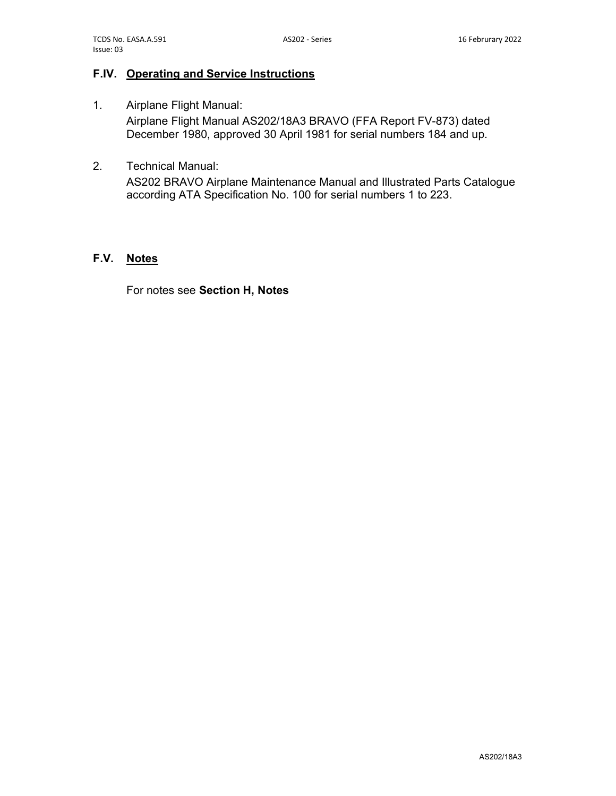## F.IV. Operating and Service Instructions

- 1. Airplane Flight Manual: Airplane Flight Manual AS202/18A3 BRAVO (FFA Report FV-873) dated December 1980, approved 30 April 1981 for serial numbers 184 and up.
- 2. Technical Manual:

AS202 BRAVO Airplane Maintenance Manual and Illustrated Parts Catalogue according ATA Specification No. 100 for serial numbers 1 to 223.

#### F.V. Notes

For notes see Section H, Notes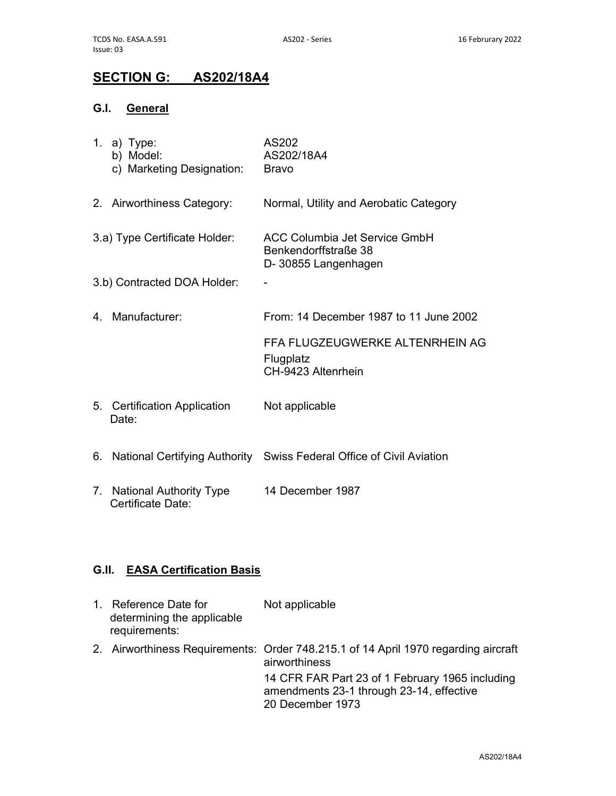# SECTION G: AS202/18A4

## G.I. General

|    | 1. a) Type:<br>b) Model:<br>c) Marketing Designation: | AS202<br>AS202/18A4<br>Bravo                                                 |
|----|-------------------------------------------------------|------------------------------------------------------------------------------|
|    | 2. Airworthiness Category:                            | Normal, Utility and Aerobatic Category                                       |
|    | 3.a) Type Certificate Holder:                         | ACC Columbia Jet Service GmbH<br>Benkendorffstraße 38<br>D-30855 Langenhagen |
|    | 3.b) Contracted DOA Holder:                           |                                                                              |
| 4. | Manufacturer:                                         | From: 14 December 1987 to 11 June 2002                                       |
|    |                                                       | FFA FLUGZEUGWERKE ALTENRHEIN AG<br>Flugplatz<br>CH-9423 Altenrhein           |
|    | 5. Certification Application<br>Date:                 | Not applicable                                                               |
| 6. |                                                       | National Certifying Authority Swiss Federal Office of Civil Aviation         |
| 7. | <b>National Authority Type</b><br>Certificate Date:   | 14 December 1987                                                             |

## G.II. EASA Certification Basis

| $1_{-}$ | Reference Date for<br>determining the applicable<br>requirements: | Not applicable                                                                                                  |
|---------|-------------------------------------------------------------------|-----------------------------------------------------------------------------------------------------------------|
|         |                                                                   | 2. Airworthiness Requirements: Order 748.215.1 of 14 April 1970 regarding aircraft<br>airworthiness             |
|         |                                                                   | 14 CFR FAR Part 23 of 1 February 1965 including<br>amendments 23-1 through 23-14, effective<br>20 December 1973 |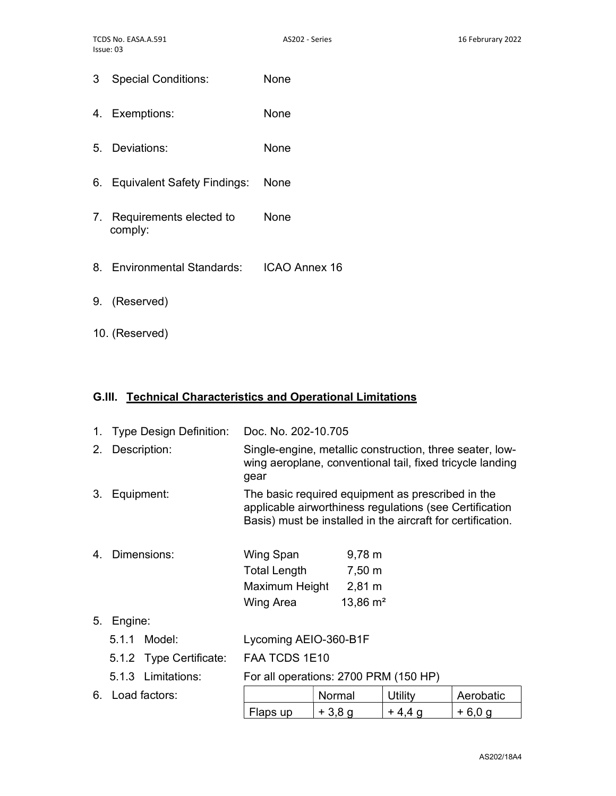- 3 Special Conditions: None
- 4. Exemptions: None
- 5. Deviations: None
- 6. Equivalent Safety Findings: None
- 7. Requirements elected to comply: None
- 8. Environmental Standards: ICAO Annex 16
- 9. (Reserved)
- 10. (Reserved)

#### G.III. Technical Characteristics and Operational Limitations

| $1_{\cdot}$ | Type Design Definition: | Doc. No. 202-10.705                                                                                                                                                         |                     |         |           |
|-------------|-------------------------|-----------------------------------------------------------------------------------------------------------------------------------------------------------------------------|---------------------|---------|-----------|
| 2.          | Description:            | Single-engine, metallic construction, three seater, low-<br>wing aeroplane, conventional tail, fixed tricycle landing<br>gear                                               |                     |         |           |
| 3.          | Equipment:              | The basic required equipment as prescribed in the<br>applicable airworthiness regulations (see Certification<br>Basis) must be installed in the aircraft for certification. |                     |         |           |
| 4           | Dimensions:             | Wing Span                                                                                                                                                                   | $9,78 \; m$         |         |           |
|             |                         | Total Length                                                                                                                                                                | 7,50 m              |         |           |
|             |                         | Maximum Height                                                                                                                                                              | $2,81 \; \text{m}$  |         |           |
|             |                         | Wing Area                                                                                                                                                                   | $13,86 \text{ m}^2$ |         |           |
| 5.          | Engine:                 |                                                                                                                                                                             |                     |         |           |
|             | 5.1.1 Model:            | Lycoming AEIO-360-B1F                                                                                                                                                       |                     |         |           |
|             | 5.1.2 Type Certificate: | FAA TCDS 1E10                                                                                                                                                               |                     |         |           |
|             | 5.1.3 Limitations:      | For all operations: 2700 PRM (150 HP)                                                                                                                                       |                     |         |           |
|             | 6. Load factors:        |                                                                                                                                                                             | Normal              | Utility | Aerobatic |

Flaps up  $+3.8 g$   $+4.4 g$   $+6.0 g$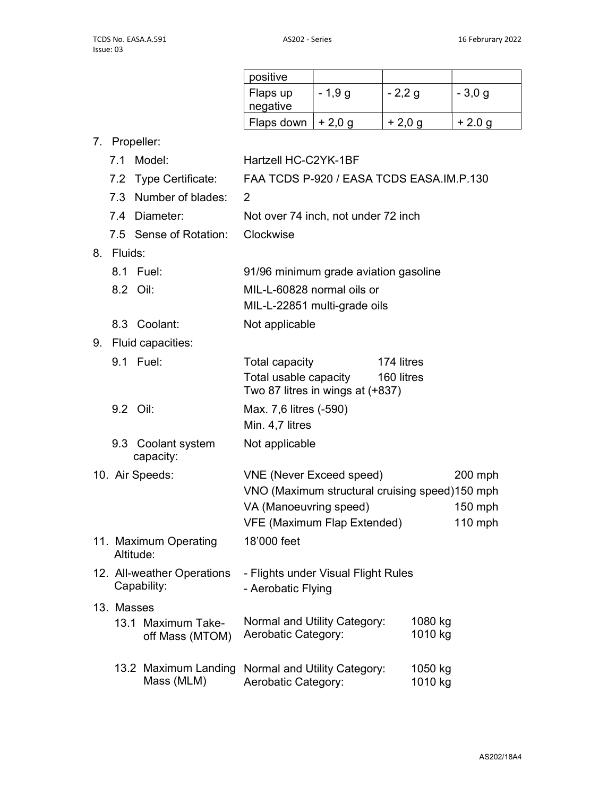| positive             |          |          |                |
|----------------------|----------|----------|----------------|
| Flaps up<br>negative | - 1,9 g  | $-2,2,9$ | $-3,0,9$       |
| Flaps down           | $+2,0,9$ | $+2,0,9$ | $+2.0\,\sigma$ |
|                      |          |          |                |

7. Propeller:

|    |            | 7.1 Model:                                | Hartzell HC-C2YK-1BF                                                                                                                              |            |                    |                                   |
|----|------------|-------------------------------------------|---------------------------------------------------------------------------------------------------------------------------------------------------|------------|--------------------|-----------------------------------|
|    |            | 7.2 Type Certificate:                     | FAA TCDS P-920 / EASA TCDS EASA.IM.P.130                                                                                                          |            |                    |                                   |
|    |            | 7.3 Number of blades:                     | 2                                                                                                                                                 |            |                    |                                   |
|    |            | 7.4 Diameter:                             | Not over 74 inch, not under 72 inch                                                                                                               |            |                    |                                   |
|    |            | 7.5 Sense of Rotation:                    | Clockwise                                                                                                                                         |            |                    |                                   |
| 8. | Fluids:    |                                           |                                                                                                                                                   |            |                    |                                   |
|    |            | 8.1 Fuel:                                 | 91/96 minimum grade aviation gasoline                                                                                                             |            |                    |                                   |
|    |            | 8.2 Oil:                                  | MIL-L-60828 normal oils or<br>MIL-L-22851 multi-grade oils                                                                                        |            |                    |                                   |
|    |            | 8.3 Coolant:                              | Not applicable                                                                                                                                    |            |                    |                                   |
| 9. |            | Fluid capacities:                         |                                                                                                                                                   |            |                    |                                   |
|    |            | 9.1 Fuel:                                 | Total capacity                                                                                                                                    | 174 litres |                    |                                   |
|    |            |                                           | Total usable capacity<br>Two 87 litres in wings at (+837)                                                                                         | 160 litres |                    |                                   |
|    |            | 9.2 Oil:                                  | Max. 7,6 litres (-590)<br>Min. 4,7 litres                                                                                                         |            |                    |                                   |
|    |            | 9.3 Coolant system<br>capacity:           | Not applicable                                                                                                                                    |            |                    |                                   |
|    |            | 10. Air Speeds:                           | <b>VNE (Never Exceed speed)</b><br>VNO (Maximum structural cruising speed)150 mph<br>VA (Manoeuvring speed)<br><b>VFE (Maximum Flap Extended)</b> |            |                    | $200$ mph<br>150 mph<br>$110$ mph |
|    |            | 11. Maximum Operating<br>Altitude:        | 18'000 feet                                                                                                                                       |            |                    |                                   |
|    |            | 12. All-weather Operations<br>Capability: | - Flights under Visual Flight Rules<br>- Aerobatic Flying                                                                                         |            |                    |                                   |
|    | 13. Masses |                                           |                                                                                                                                                   |            |                    |                                   |
|    |            | 13.1 Maximum Take-<br>off Mass (MTOM)     | Normal and Utility Category:<br>Aerobatic Category:                                                                                               |            | 1080 kg<br>1010 kg |                                   |
|    |            | 13.2 Maximum Landing<br>Mass (MLM)        | Normal and Utility Category:<br>Aerobatic Category:                                                                                               |            | 1050 kg<br>1010 kg |                                   |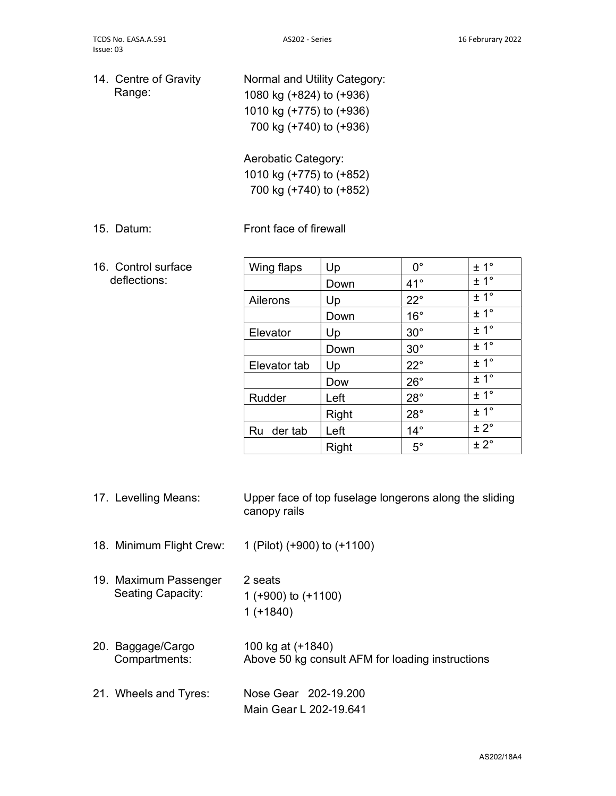14. Centre of Gravity Range: Normal and Utility Category: 1080 kg (+824) to (+936) 1010 kg (+775) to (+936)

> Aerobatic Category: 1010 kg (+775) to (+852)

700 kg (+740) to (+852)

700 kg (+740) to (+936)

### 15. Datum: Front face of firewall

16. Control surface deflections:

| Wing flaps   | Up    | $0^{\circ}$  | $\pm 1^{\circ}$  |
|--------------|-------|--------------|------------------|
|              | Down  | $41^{\circ}$ | ± 1 <sup>°</sup> |
| Ailerons     | Up    | $22^{\circ}$ | ± 1 <sup>°</sup> |
|              | Down  | $16^{\circ}$ | ± 1°             |
| Elevator     | Up    | $30^\circ$   | ± 1°             |
|              | Down  | $30^\circ$   | $\pm 1^{\circ}$  |
| Elevator tab | Up    | $22^{\circ}$ | ± 1°             |
|              | Dow   | $26^{\circ}$ | ± 1 <sup>°</sup> |
| Rudder       | Left  | $28^\circ$   | ± 1 <sup>°</sup> |
|              | Right | $28^\circ$   | ± 1 <sup>°</sup> |
| Ru der tab   | Left  | $14^{\circ}$ | $± 2^{\circ}$    |
|              | Right | $5^{\circ}$  | $± 2^{\circ}$    |

- 17. Levelling Means: Upper face of top fuselage longerons along the sliding canopy rails
- 18. Minimum Flight Crew: 1 (Pilot) (+900) to (+1100)
- 19. Maximum Passenger Seating Capacity: 2 seats 1 (+900) to (+1100) 1 (+1840)
- 20. Baggage/Cargo Compartments: 100 kg at (+1840) Above 50 kg consult AFM for loading instructions
- 21. Wheels and Tyres: Nose Gear 202-19.200 Main Gear L 202-19.641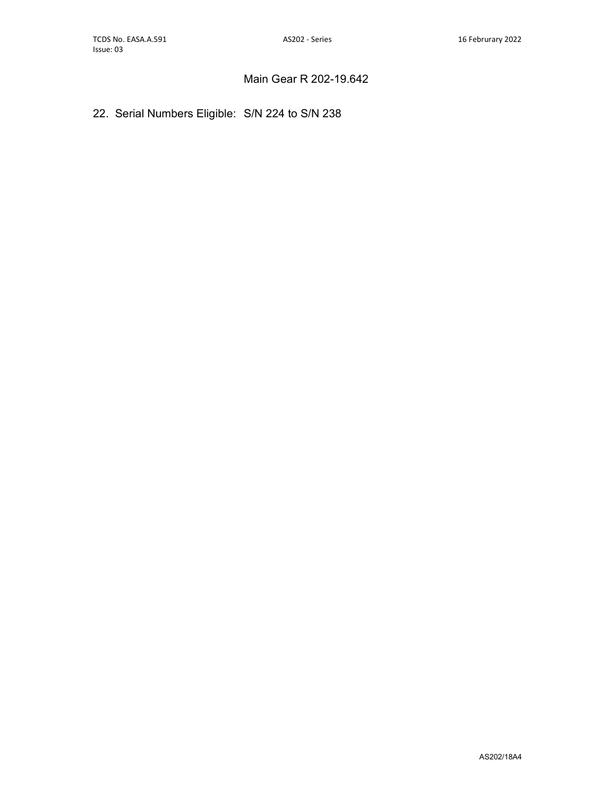## Main Gear R 202-19.642

## 22. Serial Numbers Eligible: S/N 224 to S/N 238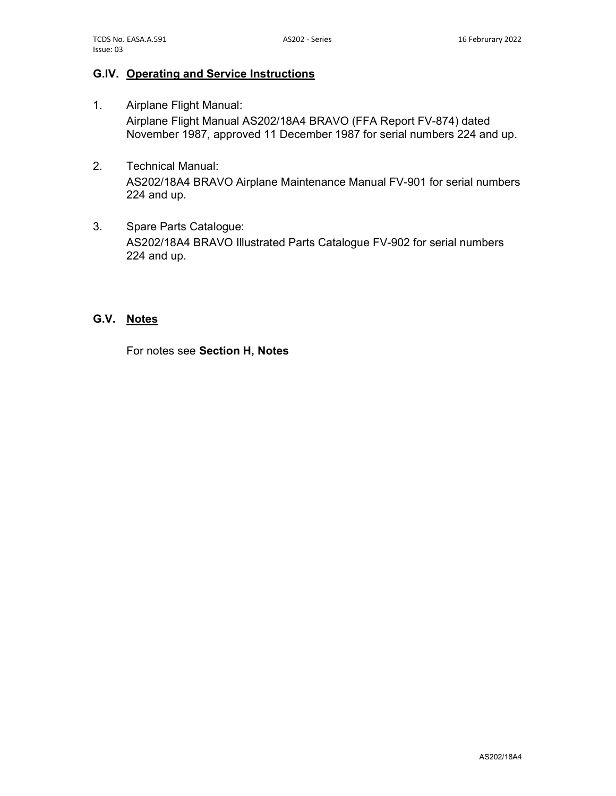#### G.IV. Operating and Service Instructions

- 1. Airplane Flight Manual: Airplane Flight Manual AS202/18A4 BRAVO (FFA Report FV-874) dated November 1987, approved 11 December 1987 for serial numbers 224 and up.
- 2. Technical Manual: AS202/18A4 BRAVO Airplane Maintenance Manual FV-901 for serial numbers 224 and up.
- 3. Spare Parts Catalogue: AS202/18A4 BRAVO Illustrated Parts Catalogue FV-902 for serial numbers 224 and up.

#### G.V. Notes

For notes see Section H, Notes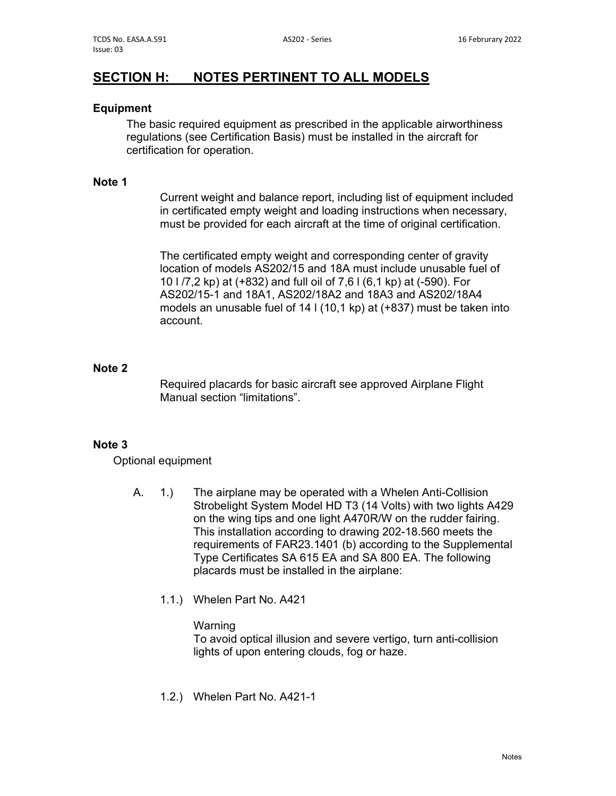# SECTION H: NOTES PERTINENT TO ALL MODELS

#### Equipment

The basic required equipment as prescribed in the applicable airworthiness regulations (see Certification Basis) must be installed in the aircraft for certification for operation.

#### Note 1

 Current weight and balance report, including list of equipment included in certificated empty weight and loading instructions when necessary, must be provided for each aircraft at the time of original certification.

 The certificated empty weight and corresponding center of gravity location of models AS202/15 and 18A must include unusable fuel of 10 l /7,2 kp) at (+832) and full oil of 7,6 l (6,1 kp) at (-590). For AS202/15-1 and 18A1, AS202/18A2 and 18A3 and AS202/18A4 models an unusable fuel of 14 l (10,1 kp) at (+837) must be taken into account.

#### Note 2

 Required placards for basic aircraft see approved Airplane Flight Manual section "limitations".

### Note 3

Optional equipment

- A. 1.) The airplane may be operated with a Whelen Anti-Collision Strobelight System Model HD T3 (14 Volts) with two lights A429 on the wing tips and one light A470R/W on the rudder fairing. This installation according to drawing 202-18.560 meets the requirements of FAR23.1401 (b) according to the Supplemental Type Certificates SA 615 EA and SA 800 EA. The following placards must be installed in the airplane:
	- 1.1.) Whelen Part No. A421

#### Warning

 To avoid optical illusion and severe vertigo, turn anti-collision lights of upon entering clouds, fog or haze.

1.2.) Whelen Part No. A421-1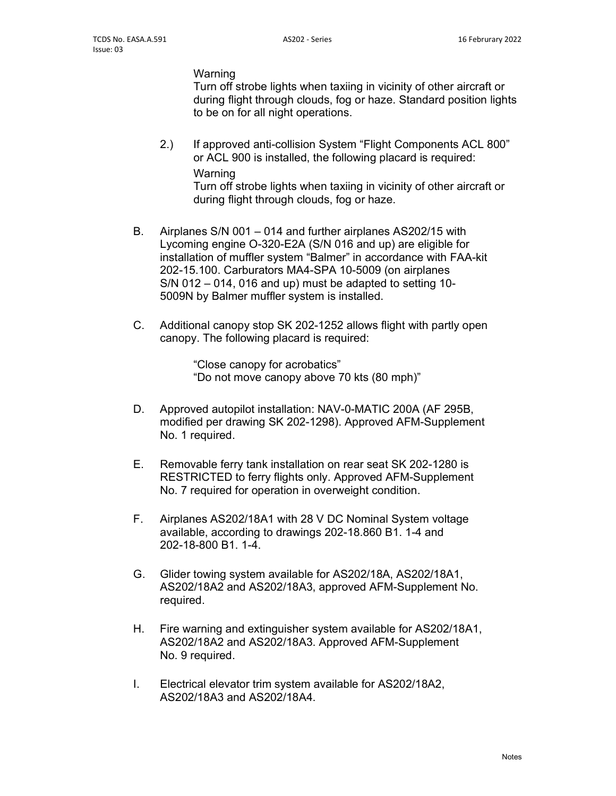Warning

 Turn off strobe lights when taxiing in vicinity of other aircraft or during flight through clouds, fog or haze. Standard position lights to be on for all night operations.

 2.) If approved anti-collision System "Flight Components ACL 800" or ACL 900 is installed, the following placard is required: Warning

 Turn off strobe lights when taxiing in vicinity of other aircraft or during flight through clouds, fog or haze.

- B. Airplanes S/N 001 014 and further airplanes AS202/15 with Lycoming engine O-320-E2A (S/N 016 and up) are eligible for installation of muffler system "Balmer" in accordance with FAA-kit 202-15.100. Carburators MA4-SPA 10-5009 (on airplanes S/N 012 – 014, 016 and up) must be adapted to setting 10- 5009N by Balmer muffler system is installed.
- C. Additional canopy stop SK 202-1252 allows flight with partly open canopy. The following placard is required:

 "Close canopy for acrobatics" "Do not move canopy above 70 kts (80 mph)"

- D. Approved autopilot installation: NAV-0-MATIC 200A (AF 295B, modified per drawing SK 202-1298). Approved AFM-Supplement No. 1 required.
- E. Removable ferry tank installation on rear seat SK 202-1280 is RESTRICTED to ferry flights only. Approved AFM-Supplement No. 7 required for operation in overweight condition.
- F. Airplanes AS202/18A1 with 28 V DC Nominal System voltage available, according to drawings 202-18.860 B1. 1-4 and 202-18-800 B1. 1-4.
- G. Glider towing system available for AS202/18A, AS202/18A1, AS202/18A2 and AS202/18A3, approved AFM-Supplement No. required.
- H. Fire warning and extinguisher system available for AS202/18A1, AS202/18A2 and AS202/18A3. Approved AFM-Supplement No. 9 required.
- I. Electrical elevator trim system available for AS202/18A2, AS202/18A3 and AS202/18A4.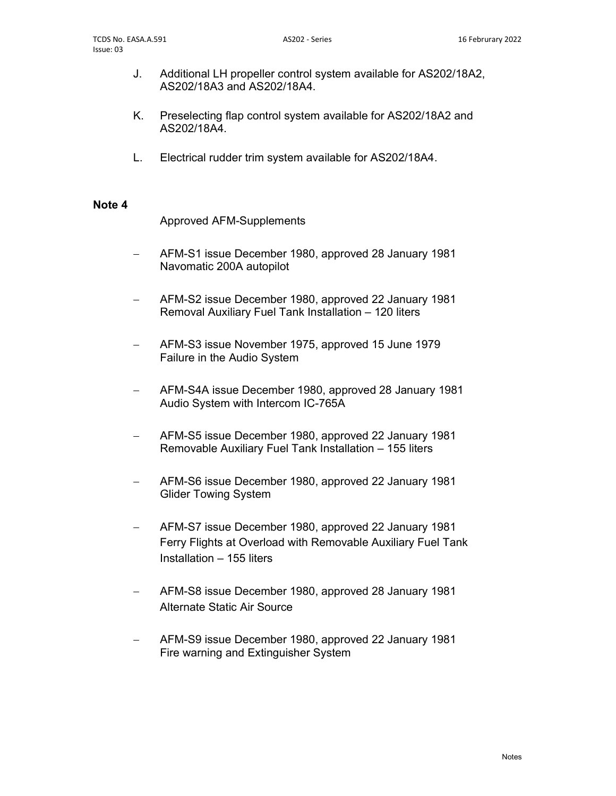- J. Additional LH propeller control system available for AS202/18A2, AS202/18A3 and AS202/18A4.
- K. Preselecting flap control system available for AS202/18A2 and AS202/18A4.
- L. Electrical rudder trim system available for AS202/18A4.

#### Note 4

Approved AFM-Supplements

- AFM-S1 issue December 1980, approved 28 January 1981 Navomatic 200A autopilot
- AFM-S2 issue December 1980, approved 22 January 1981 Removal Auxiliary Fuel Tank Installation – 120 liters
- AFM-S3 issue November 1975, approved 15 June 1979 Failure in the Audio System
- AFM-S4A issue December 1980, approved 28 January 1981 Audio System with Intercom IC-765A
- AFM-S5 issue December 1980, approved 22 January 1981 Removable Auxiliary Fuel Tank Installation – 155 liters
- AFM-S6 issue December 1980, approved 22 January 1981 Glider Towing System
- AFM-S7 issue December 1980, approved 22 January 1981 Ferry Flights at Overload with Removable Auxiliary Fuel Tank Installation – 155 liters
- AFM-S8 issue December 1980, approved 28 January 1981 Alternate Static Air Source
- AFM-S9 issue December 1980, approved 22 January 1981 Fire warning and Extinguisher System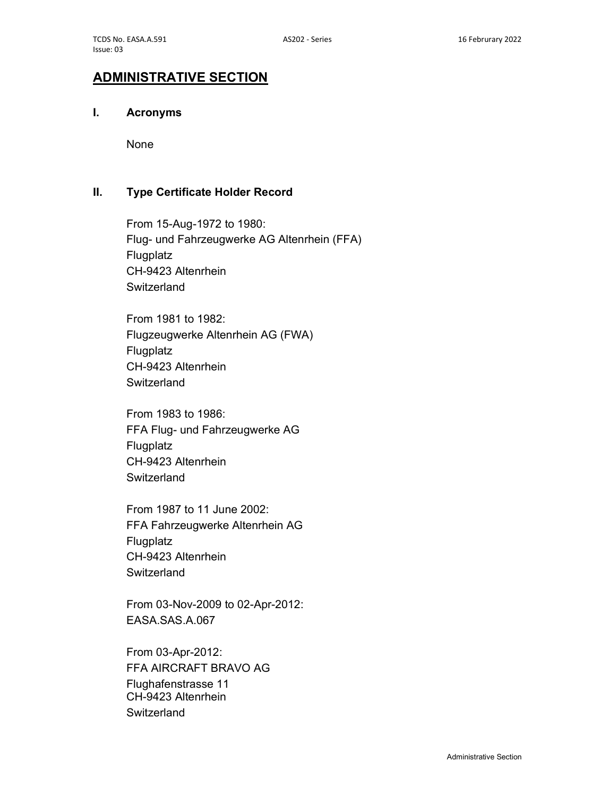## ADMINISTRATIVE SECTION

## I. Acronyms

None

#### II. Type Certificate Holder Record

 From 15-Aug-1972 to 1980: Flug- und Fahrzeugwerke AG Altenrhein (FFA) **Flugplatz**  CH-9423 Altenrhein **Switzerland** 

 From 1981 to 1982: Flugzeugwerke Altenrhein AG (FWA) **Flugplatz**  CH-9423 Altenrhein **Switzerland** 

 From 1983 to 1986: FFA Flug- und Fahrzeugwerke AG Flugplatz CH-9423 Altenrhein **Switzerland** 

 From 1987 to 11 June 2002: FFA Fahrzeugwerke Altenrhein AG **Flugplatz**  CH-9423 Altenrhein **Switzerland** 

 From 03-Nov-2009 to 02-Apr-2012: EASA.SAS.A.067

 From 03-Apr-2012: FFA AIRCRAFT BRAVO AG Flughafenstrasse 11 CH-9423 Altenrhein **Switzerland**